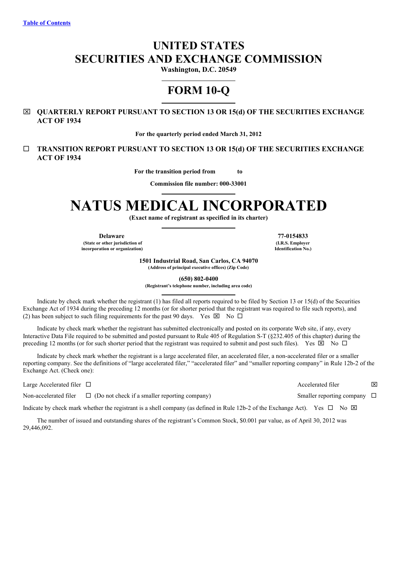# <span id="page-0-0"></span>**UNITED STATES SECURITIES AND EXCHANGE COMMISSION**

**Washington, D.C. 20549**

# **FORM 10-Q**

# x **QUARTERLY REPORT PURSUANT TO SECTION 13 OR 15(d) OF THE SECURITIES EXCHANGE ACT OF 1934**

**For the quarterly period ended March 31, 2012**

¨ **TRANSITION REPORT PURSUANT TO SECTION 13 OR 15(d) OF THE SECURITIES EXCHANGE ACT OF 1934**

**For the transition period from to**

**Commission file number: 000-33001**

# **NATUS MEDICAL INCORPORATED**

**(Exact name of registrant as specified in its charter)**

**Delaware 77-0154833 (State or other jurisdiction of incorporation or organization)**

**(I.R.S. Employer Identification No.)**

**1501 Industrial Road, San Carlos, CA 94070 (Address of principal executive offices) (Zip Code)**

**(650) 802-0400**

**(Registrant's telephone number, including area code)**

Indicate by check mark whether the registrant (1) has filed all reports required to be filed by Section 13 or 15(d) of the Securities Exchange Act of 1934 during the preceding 12 months (or for shorter period that the registrant was required to file such reports), and (2) has been subject to such filing requirements for the past 90 days. Yes  $\boxtimes$  No  $\Box$ 

Indicate by check mark whether the registrant has submitted electronically and posted on its corporate Web site, if any, every Interactive Data File required to be submitted and posted pursuant to Rule 405 of Regulation S-T (§232.405 of this chapter) during the preceding 12 months (or for such shorter period that the registrant was required to submit and post such files). Yes  $\boxtimes$  No  $\Box$ 

Indicate by check mark whether the registrant is a large accelerated filer, an accelerated filer, a non-accelerated filer or a smaller reporting company. See the definitions of "large accelerated filer," "accelerated filer" and "smaller reporting company" in Rule 12b-2 of the Exchange Act. (Check one):

Large Accelerated filer  $\Box$ 

Non-accelerated filer  $\Box$  (Do not check if a smaller reporting company) Smaller reporting company  $\Box$ 

Indicate by check mark whether the registrant is a shell company (as defined in Rule 12b-2 of the Exchange Act). Yes  $\Box$  No  $\boxtimes$ 

The number of issued and outstanding shares of the registrant's Common Stock, \$0.001 par value, as of April 30, 2012 was 29,446,092.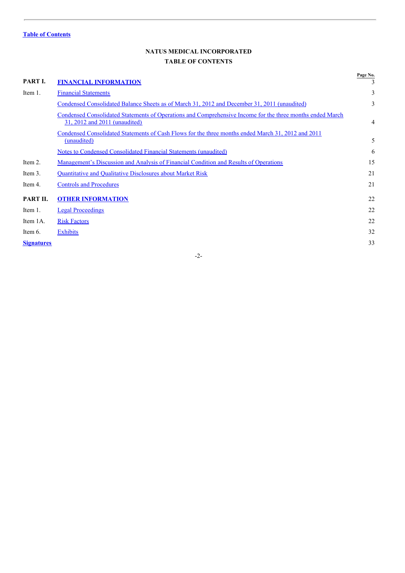# <span id="page-1-0"></span>**NATUS MEDICAL INCORPORATED TABLE OF CONTENTS**

| PART I.           | <b>FINANCIAL INFORMATION</b>                                                                                                               | Page No.<br>3  |
|-------------------|--------------------------------------------------------------------------------------------------------------------------------------------|----------------|
| Item 1.           | <b>Financial Statements</b>                                                                                                                | 3              |
|                   | Condensed Consolidated Balance Sheets as of March 31, 2012 and December 31, 2011 (unaudited)                                               | 3              |
|                   | Condensed Consolidated Statements of Operations and Comprehensive Income for the three months ended March<br>31, 2012 and 2011 (unaudited) | $\overline{4}$ |
|                   | Condensed Consolidated Statements of Cash Flows for the three months ended March 31, 2012 and 2011<br>(unaudited)                          | 5              |
|                   | Notes to Condensed Consolidated Financial Statements (unaudited)                                                                           | 6              |
| Item 2.           | <u>Management's Discussion and Analysis of Financial Condition and Results of Operations</u>                                               | 15             |
| Item 3.           | <b>Quantitative and Qualitative Disclosures about Market Risk</b>                                                                          | 21             |
| Item 4.           | <b>Controls and Procedures</b>                                                                                                             | 21             |
| PART II.          | <b>OTHER INFORMATION</b>                                                                                                                   | 22             |
| Item 1.           | <b>Legal Proceedings</b>                                                                                                                   | 22             |
| Item 1A.          | <b>Risk Factors</b>                                                                                                                        | 22             |
| Item 6.           | <b>Exhibits</b>                                                                                                                            | 32             |
| <b>Signatures</b> |                                                                                                                                            | 33             |

-2-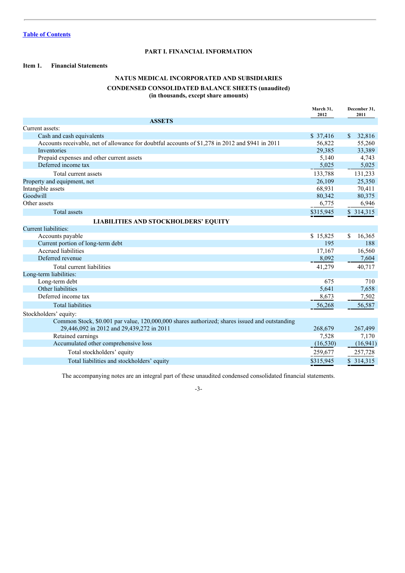# <span id="page-2-2"></span><span id="page-2-0"></span>**PART I. FINANCIAL INFORMATION**

# **Item 1. Financial Statements**

# <span id="page-2-1"></span>**NATUS MEDICAL INCORPORATED AND SUBSIDIARIES CONDENSED CONSOLIDATED BALANCE SHEETS (unaudited) (in thousands, except share amounts)**

|                                                                                                  | March 31,<br>2012 | December 31,<br>2011   |
|--------------------------------------------------------------------------------------------------|-------------------|------------------------|
| <b>ASSETS</b>                                                                                    |                   |                        |
| Current assets:                                                                                  |                   |                        |
| Cash and cash equivalents                                                                        | \$37,416          | $\mathbb{S}$<br>32,816 |
| Accounts receivable, net of allowance for doubtful accounts of \$1,278 in 2012 and \$941 in 2011 | 56,822            | 55,260                 |
| Inventories                                                                                      | 29,385            | 33,389                 |
| Prepaid expenses and other current assets                                                        | 5,140             | 4,743                  |
| Deferred income tax                                                                              | 5,025             | 5,025                  |
| Total current assets                                                                             | 133,788           | 131,233                |
| Property and equipment, net                                                                      | 26,109            | 25,350                 |
| Intangible assets                                                                                | 68,931            | 70,411                 |
| Goodwill                                                                                         | 80,342            | 80,375                 |
| Other assets                                                                                     | 6,775             | 6,946                  |
| <b>Total assets</b>                                                                              | \$315,945         | \$ 314,315             |
| <b>LIABILITIES AND STOCKHOLDERS' EQUITY</b>                                                      |                   |                        |
| Current liabilities:                                                                             |                   |                        |
| Accounts payable                                                                                 | \$15,825          | 16,365<br>S            |
| Current portion of long-term debt                                                                | 195               | 188                    |
| <b>Accrued liabilities</b>                                                                       | 17,167            | 16,560                 |
| Deferred revenue                                                                                 | 8,092             | 7,604                  |
| Total current liabilities                                                                        | 41,279            | 40,717                 |
| Long-term liabilities:                                                                           |                   |                        |
| Long-term debt                                                                                   | 675               | 710                    |
| Other liabilities                                                                                | 5,641             | 7,658                  |
| Deferred income tax                                                                              | 8,673             | 7,502                  |
| <b>Total liabilities</b>                                                                         | 56,268            | 56,587                 |
| Stockholders' equity:                                                                            |                   |                        |
| Common Stock, \$0.001 par value, 120,000,000 shares authorized; shares issued and outstanding    |                   |                        |
| 29,446,092 in 2012 and 29,439,272 in 2011                                                        | 268,679           | 267,499                |
| Retained earnings                                                                                | 7,528             | 7,170                  |
| Accumulated other comprehensive loss                                                             | (16, 530)         | (16,941)               |
| Total stockholders' equity                                                                       | 259,677           | 257,728                |
| Total liabilities and stockholders' equity                                                       | \$315,945         | \$ 314,315             |

The accompanying notes are an integral part of these unaudited condensed consolidated financial statements.

-3-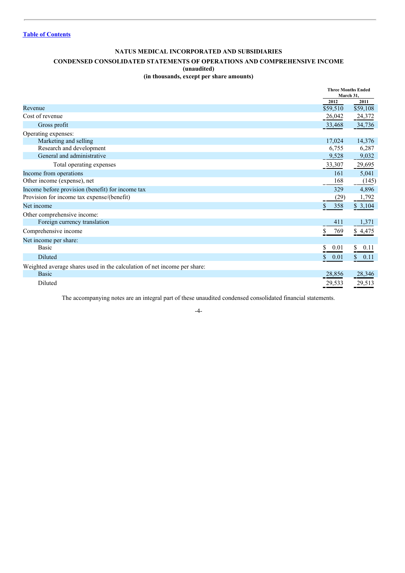# **NATUS MEDICAL INCORPORATED AND SUBSIDIARIES**

# **CONDENSED CONSOLIDATED STATEMENTS OF OPERATIONS AND COMPREHENSIVE INCOME (unaudited)**

# <span id="page-3-0"></span>**(in thousands, except per share amounts)**

|                                                                          |          | <b>Three Months Ended</b> |  |
|--------------------------------------------------------------------------|----------|---------------------------|--|
|                                                                          |          | March 31                  |  |
|                                                                          | 2012     | 2011                      |  |
| Revenue                                                                  | \$59,510 | \$59,108                  |  |
| Cost of revenue                                                          | 26,042   | 24,372                    |  |
| Gross profit                                                             | 33,468   | 34,736                    |  |
| Operating expenses:                                                      |          |                           |  |
| Marketing and selling                                                    | 17,024   | 14,376                    |  |
| Research and development                                                 | 6,755    | 6,287                     |  |
| General and administrative                                               | 9,528    | 9,032                     |  |
| Total operating expenses                                                 | 33,307   | 29,695                    |  |
| Income from operations                                                   | 161      | 5,041                     |  |
| Other income (expense), net                                              | 168      | (145)                     |  |
| Income before provision (benefit) for income tax                         | 329      | 4,896                     |  |
| Provision for income tax expense/(benefit)                               | (29)     | 1,792                     |  |
| Net income                                                               | 358      | \$3,104                   |  |
| Other comprehensive income:                                              |          |                           |  |
| Foreign currency translation                                             | 411      | 1,371                     |  |
| Comprehensive income                                                     | 769      | \$4,475                   |  |
| Net income per share:                                                    |          |                           |  |
| <b>Basic</b>                                                             | 0.01     | 0.11                      |  |
| Diluted                                                                  | 0.01     | \$ 0.11                   |  |
| Weighted average shares used in the calculation of net income per share: |          |                           |  |
| <b>Basic</b>                                                             | 28,856   | 28,346                    |  |
| Diluted                                                                  | 29,533   | 29,513                    |  |

The accompanying notes are an integral part of these unaudited condensed consolidated financial statements.

# -4-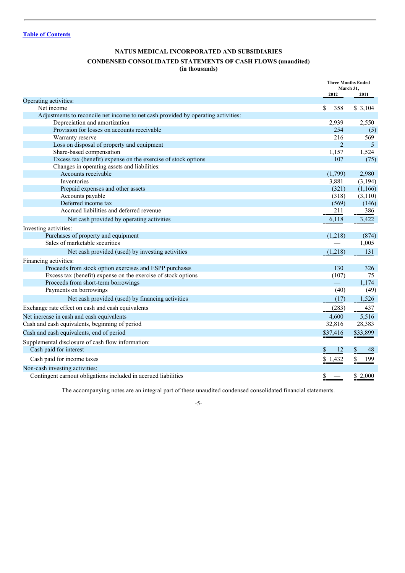# **NATUS MEDICAL INCORPORATED AND SUBSIDIARIES CONDENSED CONSOLIDATED STATEMENTS OF CASH FLOWS (unaudited) (in thousands)**

|                                                                                                  |                | <b>Three Months Ended</b><br>March 31, |  |
|--------------------------------------------------------------------------------------------------|----------------|----------------------------------------|--|
|                                                                                                  | 2012           | 2011                                   |  |
| Operating activities:                                                                            |                |                                        |  |
| Net income                                                                                       | \$<br>358      | \$3,104                                |  |
| Adjustments to reconcile net income to net cash provided by operating activities:                |                |                                        |  |
| Depreciation and amortization                                                                    | 2,939          | 2,550                                  |  |
| Provision for losses on accounts receivable                                                      | 254            | (5)                                    |  |
| Warranty reserve                                                                                 | 216            | 569                                    |  |
| Loss on disposal of property and equipment                                                       | $\overline{2}$ | 5                                      |  |
| Share-based compensation                                                                         | 1,157          | 1,524                                  |  |
| Excess tax (benefit) expense on the exercise of stock options                                    | 107            | (75)                                   |  |
| Changes in operating assets and liabilities:                                                     |                |                                        |  |
| Accounts receivable                                                                              | (1,799)        | 2,980                                  |  |
| Inventories                                                                                      | 3,881          | (3,194)                                |  |
| Prepaid expenses and other assets                                                                | (321)          | (1,166)                                |  |
| Accounts payable                                                                                 | (318)          | (3,110)                                |  |
| Deferred income tax                                                                              | (569)          | (146)                                  |  |
| Accrued liabilities and deferred revenue                                                         | 211            | 386                                    |  |
| Net cash provided by operating activities                                                        | 6,118          | 3,422                                  |  |
| Investing activities:                                                                            |                |                                        |  |
| Purchases of property and equipment                                                              | (1,218)        | (874)                                  |  |
| Sales of marketable securities                                                                   |                | 1,005                                  |  |
| Net cash provided (used) by investing activities                                                 | (1,218)        | 131                                    |  |
| Financing activities:                                                                            |                |                                        |  |
| Proceeds from stock option exercises and ESPP purchases                                          | 130            | 326                                    |  |
| Excess tax (benefit) expense on the exercise of stock options                                    | (107)          | 75                                     |  |
| Proceeds from short-term borrowings                                                              |                | 1,174                                  |  |
| Payments on borrowings                                                                           | (40)           | (49)                                   |  |
| Net cash provided (used) by financing activities                                                 | (17)           | 1,526                                  |  |
| Exchange rate effect on cash and cash equivalents                                                | (283)          | 437                                    |  |
| Net increase in cash and cash equivalents                                                        | 4,600          | 5,516                                  |  |
| Cash and cash equivalents, beginning of period                                                   | 32,816         | 28,383                                 |  |
| Cash and cash equivalents, end of period                                                         | \$37,416       | \$33,899                               |  |
| Supplemental disclosure of cash flow information:<br>Cash paid for interest                      | 12             | \$<br>48                               |  |
| Cash paid for income taxes                                                                       | \$1,432        | \$<br>199                              |  |
|                                                                                                  |                |                                        |  |
| Non-cash investing activities:<br>Contingent earnout obligations included in accrued liabilities | \$             | \$2,000                                |  |

The accompanying notes are an integral part of these unaudited condensed consolidated financial statements.

-5-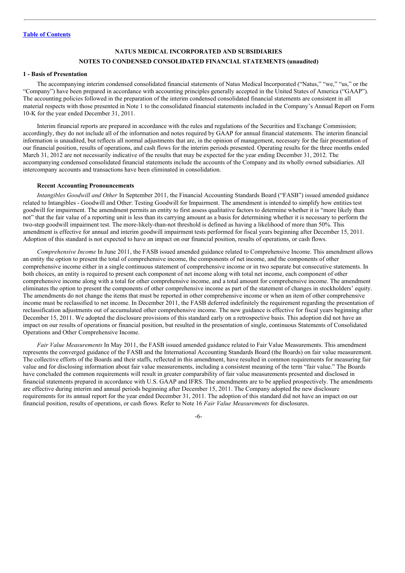# **NATUS MEDICAL INCORPORATED AND SUBSIDIARIES NOTES TO CONDENSED CONSOLIDATED FINANCIAL STATEMENTS (unaudited)**

#### **1 - Basis of Presentation**

The accompanying interim condensed consolidated financial statements of Natus Medical Incorporated ("Natus," "we," "us," or the "Company") have been prepared in accordance with accounting principles generally accepted in the United States of America ("GAAP"). The accounting policies followed in the preparation of the interim condensed consolidated financial statements are consistent in all material respects with those presented in Note 1 to the consolidated financial statements included in the Company's Annual Report on Form 10-K for the year ended December 31, 2011.

Interim financial reports are prepared in accordance with the rules and regulations of the Securities and Exchange Commission; accordingly, they do not include all of the information and notes required by GAAP for annual financial statements. The interim financial information is unaudited, but reflects all normal adjustments that are, in the opinion of management, necessary for the fair presentation of our financial position, results of operations, and cash flows for the interim periods presented. Operating results for the three months ended March 31, 2012 are not necessarily indicative of the results that may be expected for the year ending December 31, 2012. The accompanying condensed consolidated financial statements include the accounts of the Company and its wholly owned subsidiaries. All intercompany accounts and transactions have been eliminated in consolidation.

# **Recent Accounting Pronouncements**

*Intangibles Goodwill and Other* In September 2011, the Financial Accounting Standards Board ("FASB") issued amended guidance related to Intangibles - Goodwill and Other: Testing Goodwill for Impairment. The amendment is intended to simplify how entities test goodwill for impairment. The amendment permits an entity to first assess qualitative factors to determine whether it is "more likely than not" that the fair value of a reporting unit is less than its carrying amount as a basis for determining whether it is necessary to perform the two-step goodwill impairment test. The more-likely-than-not threshold is defined as having a likelihood of more than 50%. This amendment is effective for annual and interim goodwill impairment tests performed for fiscal years beginning after December 15, 2011. Adoption of this standard is not expected to have an impact on our financial position, results of operations, or cash flows.

*Comprehensive Income* In June 2011, the FASB issued amended guidance related to Comprehensive Income. This amendment allows an entity the option to present the total of comprehensive income, the components of net income, and the components of other comprehensive income either in a single continuous statement of comprehensive income or in two separate but consecutive statements. In both choices, an entity is required to present each component of net income along with total net income, each component of other comprehensive income along with a total for other comprehensive income, and a total amount for comprehensive income. The amendment eliminates the option to present the components of other comprehensive income as part of the statement of changes in stockholders' equity. The amendments do not change the items that must be reported in other comprehensive income or when an item of other comprehensive income must be reclassified to net income. In December 2011, the FASB deferred indefinitely the requirement regarding the presentation of reclassification adjustments out of accumulated other comprehensive income. The new guidance is effective for fiscal years beginning after December 15, 2011. We adopted the disclosure provisions of this standard early on a retrospective basis. This adoption did not have an impact on our results of operations or financial position, but resulted in the presentation of single, continuous Statements of Consolidated Operations and Other Comprehensive Income.

*Fair Value Measurements* In May 2011, the FASB issued amended guidance related to Fair Value Measurements. This amendment represents the converged guidance of the FASB and the International Accounting Standards Board (the Boards) on fair value measurement. The collective efforts of the Boards and their staffs, reflected in this amendment, have resulted in common requirements for measuring fair value and for disclosing information about fair value measurements, including a consistent meaning of the term "fair value." The Boards have concluded the common requirements will result in greater comparability of fair value measurements presented and disclosed in financial statements prepared in accordance with U.S. GAAP and IFRS. The amendments are to be applied prospectively. The amendments are effective during interim and annual periods beginning after December 15, 2011. The Company adopted the new disclosure requirements for its annual report for the year ended December 31, 2011. The adoption of this standard did not have an impact on our financial position, results of operations, or cash flows. Refer to Note 16 *Fair Value Measurements* for disclosures.

#### -6-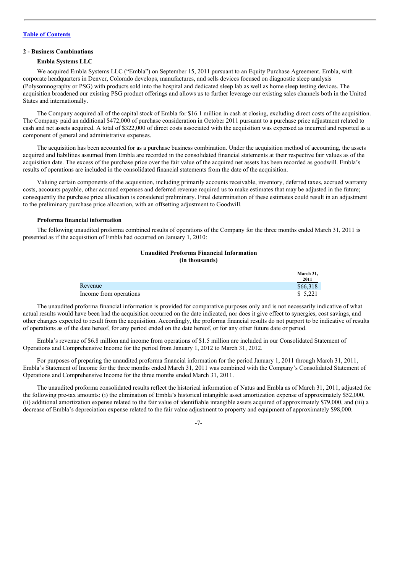#### **2 - Business Combinations**

#### **Embla Systems LLC**

We acquired Embla Systems LLC ("Embla") on September 15, 2011 pursuant to an Equity Purchase Agreement. Embla, with corporate headquarters in Denver, Colorado develops, manufactures, and sells devices focused on diagnostic sleep analysis (Polysomnography or PSG) with products sold into the hospital and dedicated sleep lab as well as home sleep testing devices. The acquisition broadened our existing PSG product offerings and allows us to further leverage our existing sales channels both in the United States and internationally.

The Company acquired all of the capital stock of Embla for \$16.1 million in cash at closing, excluding direct costs of the acquisition. The Company paid an additional \$472,000 of purchase consideration in October 2011 pursuant to a purchase price adjustment related to cash and net assets acquired. A total of \$322,000 of direct costs associated with the acquisition was expensed as incurred and reported as a component of general and administrative expenses.

The acquisition has been accounted for as a purchase business combination. Under the acquisition method of accounting, the assets acquired and liabilities assumed from Embla are recorded in the consolidated financial statements at their respective fair values as of the acquisition date. The excess of the purchase price over the fair value of the acquired net assets has been recorded as goodwill. Embla's results of operations are included in the consolidated financial statements from the date of the acquisition.

Valuing certain components of the acquisition, including primarily accounts receivable, inventory, deferred taxes, accrued warranty costs, accounts payable, other accrued expenses and deferred revenue required us to make estimates that may be adjusted in the future; consequently the purchase price allocation is considered preliminary. Final determination of these estimates could result in an adjustment to the preliminary purchase price allocation, with an offsetting adjustment to Goodwill.

# **Proforma financial information**

The following unaudited proforma combined results of operations of the Company for the three months ended March 31, 2011 is presented as if the acquisition of Embla had occurred on January 1, 2010:

# **Unaudited Proforma Financial Information (in thousands)**

|                        | March 31,<br>2011 |
|------------------------|-------------------|
| Revenue                | \$66,318          |
| Income from operations | \$5.221           |

The unaudited proforma financial information is provided for comparative purposes only and is not necessarily indicative of what actual results would have been had the acquisition occurred on the date indicated, nor does it give effect to synergies, cost savings, and other changes expected to result from the acquisition. Accordingly, the proforma financial results do not purport to be indicative of results of operations as of the date hereof, for any period ended on the date hereof, or for any other future date or period.

Embla's revenue of \$6.8 million and income from operations of \$1.5 million are included in our Consolidated Statement of Operations and Comprehensive Income for the period from January 1, 2012 to March 31, 2012.

For purposes of preparing the unaudited proforma financial information for the period January 1, 2011 through March 31, 2011, Embla's Statement of Income for the three months ended March 31, 2011 was combined with the Company's Consolidated Statement of Operations and Comprehensive Income for the three months ended March 31, 2011.

The unaudited proforma consolidated results reflect the historical information of Natus and Embla as of March 31, 2011, adjusted for the following pre-tax amounts: (i) the elimination of Embla's historical intangible asset amortization expense of approximately \$52,000, (ii) additional amortization expense related to the fair value of identifiable intangible assets acquired of approximately \$79,000, and (iii) a decrease of Embla's depreciation expense related to the fair value adjustment to property and equipment of approximately \$98,000.

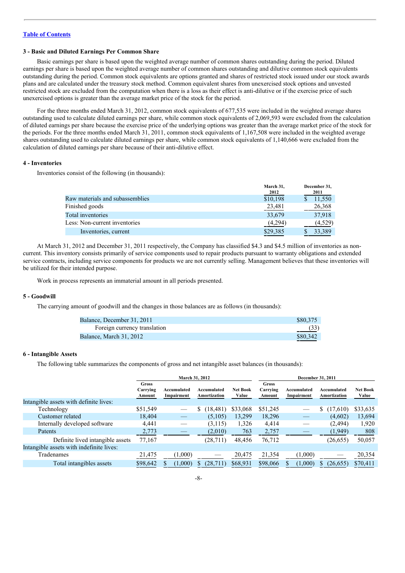# **3 - Basic and Diluted Earnings Per Common Share**

Basic earnings per share is based upon the weighted average number of common shares outstanding during the period. Diluted earnings per share is based upon the weighted average number of common shares outstanding and dilutive common stock equivalents outstanding during the period. Common stock equivalents are options granted and shares of restricted stock issued under our stock awards plans and are calculated under the treasury stock method. Common equivalent shares from unexercised stock options and unvested restricted stock are excluded from the computation when there is a loss as their effect is anti-dilutive or if the exercise price of such unexercised options is greater than the average market price of the stock for the period.

For the three months ended March 31, 2012, common stock equivalents of 677,535 were included in the weighted average shares outstanding used to calculate diluted earnings per share, while common stock equivalents of 2,069,593 were excluded from the calculation of diluted earnings per share because the exercise price of the underlying options was greater than the average market price of the stock for the periods. For the three months ended March 31, 2011, common stock equivalents of 1,167,508 were included in the weighted average shares outstanding used to calculate diluted earnings per share, while common stock equivalents of 1,140,666 were excluded from the calculation of diluted earnings per share because of their anti-dilutive effect.

#### **4 - Inventories**

Inventories consist of the following (in thousands):

|                                 | March 31,<br>2012 | December 31,<br>2011 |
|---------------------------------|-------------------|----------------------|
| Raw materials and subassemblies | \$10,198          | 11,550               |
| Finished goods                  | 23,481            | 26,368               |
| Total inventories               | 33,679            | 37.918               |
| Less: Non-current inventories   | (4,294)           | (4,529)              |
| Inventories, current            | \$29,385          | 33.389               |

At March 31, 2012 and December 31, 2011 respectively, the Company has classified \$4.3 and \$4.5 million of inventories as noncurrent. This inventory consists primarily of service components used to repair products pursuant to warranty obligations and extended service contracts, including service components for products we are not currently selling. Management believes that these inventories will be utilized for their intended purpose.

Work in process represents an immaterial amount in all periods presented.

#### **5 - Goodwill**

The carrying amount of goodwill and the changes in those balances are as follows (in thousands):

| Balance, December 31, 2011   | \$80,375 |
|------------------------------|----------|
| Foreign currency translation | (33)     |
| Balance, March 31, 2012      | \$80,342 |

### **6 - Intangible Assets**

The following table summarizes the components of gross and net intangible asset balances (in thousands):

|                                          | March 31, 2012                     |                           |                             | December 31, 2011        |                             |                           |                             |                          |
|------------------------------------------|------------------------------------|---------------------------|-----------------------------|--------------------------|-----------------------------|---------------------------|-----------------------------|--------------------------|
|                                          | <b>Gross</b><br>Carrying<br>Amount | Accumulated<br>Impairment | Accumulated<br>Amortization | <b>Net Book</b><br>Value | Gross<br>Carrying<br>Amount | Accumulated<br>Impairment | Accumulated<br>Amortization | <b>Net Book</b><br>Value |
| Intangible assets with definite lives:   |                                    |                           |                             |                          |                             |                           |                             |                          |
| Technology                               | \$51,549                           |                           | \$<br>(18, 481)             | \$33,068                 | \$51,245                    |                           | \$<br>(17,610)              | \$33,635                 |
| Customer related                         | 18,404                             |                           | (5,105)                     | 13,299                   | 18,296                      |                           | (4,602)                     | 13,694                   |
| Internally developed software            | 4,441                              |                           | (3,115)                     | 1,326                    | 4,414                       |                           | (2, 494)                    | 1,920                    |
| Patents                                  | 2,773                              |                           | (2,010)                     | 763                      | 2,757                       |                           | (1,949)                     | 808                      |
| Definite lived intangible assets         | 77,167                             |                           | (28, 711)                   | 48,456                   | 76,712                      |                           | (26, 655)                   | 50,057                   |
| Intangible assets with indefinite lives: |                                    |                           |                             |                          |                             |                           |                             |                          |
| Tradenames                               | 21,475                             | (1,000)                   |                             | 20,475                   | 21,354                      | (1,000)                   |                             | 20,354                   |
| Total intangibles assets                 | \$98,642                           | .000)                     | (28.711)                    | \$68,931                 | \$98,066                    | (1.000)                   | (26.655)                    | \$70,411                 |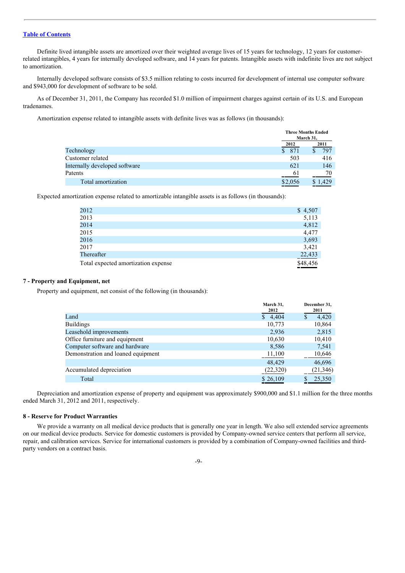Definite lived intangible assets are amortized over their weighted average lives of 15 years for technology, 12 years for customerrelated intangibles, 4 years for internally developed software, and 14 years for patents. Intangible assets with indefinite lives are not subject to amortization.

Internally developed software consists of \$3.5 million relating to costs incurred for development of internal use computer software and \$943,000 for development of software to be sold.

As of December 31, 2011, the Company has recorded \$1.0 million of impairment charges against certain of its U.S. and European tradenames.

Amortization expense related to intangible assets with definite lives was as follows (in thousands):

|                               |                     | <b>Three Months Ended</b><br>March 31, |  |
|-------------------------------|---------------------|----------------------------------------|--|
|                               | 2012                | 2011                                   |  |
| Technology                    | 871<br><sup>S</sup> | 797                                    |  |
| Customer related              | 503                 | 416                                    |  |
| Internally developed software | 621                 | 146                                    |  |
| Patents                       | 61                  | 70                                     |  |
| Total amortization            | \$2,056             | \$1.429                                |  |

Expected amortization expense related to amortizable intangible assets is as follows (in thousands):

| 2012                                | \$4,507  |
|-------------------------------------|----------|
| 2013                                | 5,113    |
| 2014                                | 4,812    |
| 2015                                | 4,477    |
| 2016                                | 3,693    |
| 2017                                | 3,421    |
| Thereafter                          | 22,433   |
| Total expected amortization expense | \$48,456 |

# **7 - Property and Equipment, net**

Property and equipment, net consist of the following (in thousands):

|                                    | March 31,<br>2012 | December 31,<br>2011 |
|------------------------------------|-------------------|----------------------|
| Land                               | \$4,404           | 4,420                |
| <b>Buildings</b>                   | 10,773            | 10,864               |
| Leasehold improvements             | 2,936             | 2,815                |
| Office furniture and equipment     | 10,630            | 10,410               |
| Computer software and hardware     | 8,586             | 7,541                |
| Demonstration and loaned equipment | 11,100            | 10,646               |
|                                    | 48.429            | 46,696               |
| Accumulated depreciation           | (22, 320)         | (21, 346)            |
| Total                              | \$26,109          | 25,350               |

Depreciation and amortization expense of property and equipment was approximately \$900,000 and \$1.1 million for the three months ended March 31, 2012 and 2011, respectively.

# **8 - Reserve for Product Warranties**

We provide a warranty on all medical device products that is generally one year in length. We also sell extended service agreements on our medical device products. Service for domestic customers is provided by Company-owned service centers that perform all service, repair, and calibration services. Service for international customers is provided by a combination of Company-owned facilities and thirdparty vendors on a contract basis.

-9-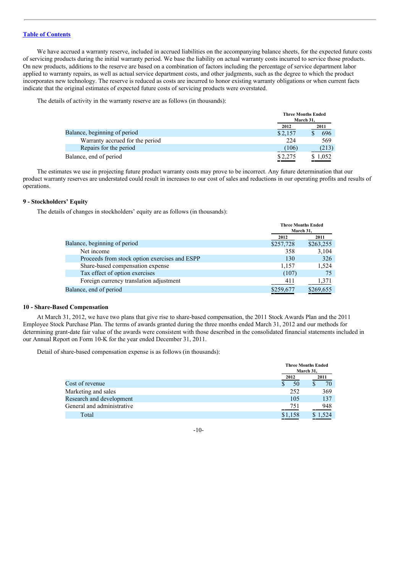We have accrued a warranty reserve, included in accrued liabilities on the accompanying balance sheets, for the expected future costs of servicing products during the initial warranty period. We base the liability on actual warranty costs incurred to service those products. On new products, additions to the reserve are based on a combination of factors including the percentage of service department labor applied to warranty repairs, as well as actual service department costs, and other judgments, such as the degree to which the product incorporates new technology. The reserve is reduced as costs are incurred to honor existing warranty obligations or when current facts indicate that the original estimates of expected future costs of servicing products were overstated.

The details of activity in the warranty reserve are as follows (in thousands):

|                                 |         | <b>Three Months Ended</b><br>March 31, |  |
|---------------------------------|---------|----------------------------------------|--|
|                                 | 2012    | 2011                                   |  |
| Balance, beginning of period    | \$2.157 | 696                                    |  |
| Warranty accrued for the period | 224     | 569                                    |  |
| Repairs for the period          | (106)   | (213)                                  |  |
| Balance, end of period          | \$2,275 | 1,052                                  |  |

The estimates we use in projecting future product warranty costs may prove to be incorrect. Any future determination that our product warranty reserves are understated could result in increases to our cost of sales and reductions in our operating profits and results of operations.

# **9 - Stockholders' Equity**

The details of changes in stockholders' equity are as follows (in thousands):

|                                               | <b>Three Months Ended</b><br>March 31, |           |
|-----------------------------------------------|----------------------------------------|-----------|
|                                               | 2012                                   | 2011      |
| Balance, beginning of period                  | \$257,728                              | \$263,255 |
| Net income                                    | 358                                    | 3,104     |
| Proceeds from stock option exercises and ESPP | 130                                    | 326       |
| Share-based compensation expense              | 1,157                                  | 1,524     |
| Tax effect of option exercises                | (107)                                  | 75        |
| Foreign currency translation adjustment       | 411                                    | 1,371     |
| Balance, end of period                        | \$259,677                              | \$269,655 |

#### **10 - Share-Based Compensation**

At March 31, 2012, we have two plans that give rise to share-based compensation, the 2011 Stock Awards Plan and the 2011 Employee Stock Purchase Plan. The terms of awards granted during the three months ended March 31, 2012 and our methods for determining grant-date fair value of the awards were consistent with those described in the consolidated financial statements included in our Annual Report on Form 10-K for the year ended December 31, 2011.

Detail of share-based compensation expense is as follows (in thousands):

|                            |         | <b>Three Months Ended</b><br>March 31, |      |
|----------------------------|---------|----------------------------------------|------|
|                            | 2012    |                                        | 2011 |
| Cost of revenue            | 50      |                                        | 70   |
| Marketing and sales        | 252     |                                        | 369  |
| Research and development   | 105     |                                        | 137  |
| General and administrative | 751     |                                        | 948  |
| Total                      | \$1,158 |                                        | .524 |

-10-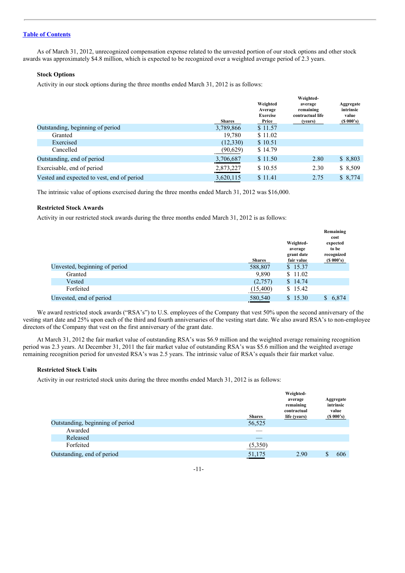As of March 31, 2012, unrecognized compensation expense related to the unvested portion of our stock options and other stock awards was approximately \$4.8 million, which is expected to be recognized over a weighted average period of 2.3 years.

### **Stock Options**

Activity in our stock options during the three months ended March 31, 2012 is as follows:

|                                            |               | Weighted-                                       |                                                     |                                              |
|--------------------------------------------|---------------|-------------------------------------------------|-----------------------------------------------------|----------------------------------------------|
|                                            | <b>Shares</b> | Weighted<br>Average<br><b>Exercise</b><br>Price | average<br>remaining<br>contractual life<br>(years) | Aggregate<br>intrinsic<br>value<br>(S 000's) |
| Outstanding, beginning of period           | 3,789,866     | \$11.57                                         |                                                     |                                              |
| Granted                                    | 19.780        | \$11.02                                         |                                                     |                                              |
| Exercised                                  | (12,330)      | \$10.51                                         |                                                     |                                              |
| Cancelled                                  | (90,629)      | \$14.79                                         |                                                     |                                              |
| Outstanding, end of period                 | 3,706,687     | \$11.50                                         | 2.80                                                | \$8,803                                      |
| Exercisable, end of period                 | 2,873,227     | \$10.55                                         | 2.30                                                | \$ 8,509                                     |
| Vested and expected to vest, end of period | 3,620,115     | \$11.41                                         | 2.75                                                | \$8,774                                      |

The intrinsic value of options exercised during the three months ended March 31, 2012 was \$16,000.

# **Restricted Stock Awards**

Activity in our restricted stock awards during the three months ended March 31, 2012 is as follows:

|                               | <b>Shares</b> | Weighted-<br>average<br>grant date<br>fair value | Remaining<br>cost<br>expected<br>to be<br>recognized<br>$(S\ 000's)$ |
|-------------------------------|---------------|--------------------------------------------------|----------------------------------------------------------------------|
| Unvested, beginning of period | 588,807       | \$15.37                                          |                                                                      |
| Granted                       | 9.890         | \$11.02                                          |                                                                      |
| Vested                        | (2,757)       | \$14.74                                          |                                                                      |
| Forfeited                     | (15,400)      | \$15.42                                          |                                                                      |
| Unvested, end of period       | 580,540       | \$15.30                                          | 6.874<br>S.                                                          |

We award restricted stock awards ("RSA's") to U.S. employees of the Company that vest 50% upon the second anniversary of the vesting start date and 25% upon each of the third and fourth anniversaries of the vesting start date. We also award RSA's to non-employee directors of the Company that vest on the first anniversary of the grant date.

At March 31, 2012 the fair market value of outstanding RSA's was \$6.9 million and the weighted average remaining recognition period was 2.3 years. At December 31, 2011 the fair market value of outstanding RSA's was \$5.6 million and the weighted average remaining recognition period for unvested RSA's was 2.5 years. The intrinsic value of RSA's equals their fair market value.

# **Restricted Stock Units**

Activity in our restricted stock units during the three months ended March 31, 2012 is as follows:

|                                  |               | Weighted-<br>average<br>remaining<br>contractual | Aggregate<br>intrinsic<br>value |
|----------------------------------|---------------|--------------------------------------------------|---------------------------------|
|                                  | <b>Shares</b> | life (years)                                     | (S 000's)                       |
| Outstanding, beginning of period | 56,525        |                                                  |                                 |
| Awarded                          |               |                                                  |                                 |
| Released                         |               |                                                  |                                 |
| Forfeited                        | (5,350)       |                                                  |                                 |
| Outstanding, end of period       | 51,175        | 2.90                                             | 606                             |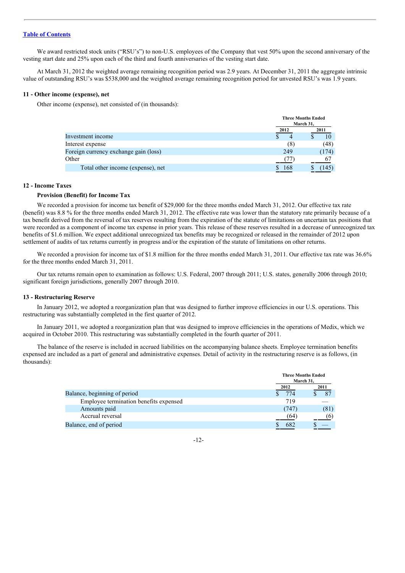We award restricted stock units ("RSU's") to non-U.S. employees of the Company that vest 50% upon the second anniversary of the vesting start date and 25% upon each of the third and fourth anniversaries of the vesting start date.

At March 31, 2012 the weighted average remaining recognition period was 2.9 years. At December 31, 2011 the aggregate intrinsic value of outstanding RSU's was \$538,000 and the weighted average remaining recognition period for unvested RSU's was 1.9 years.

#### **11 - Other income (expense), net**

Other income (expense), net consisted of (in thousands):

|                                       |      | <b>Three Months Ended</b><br>March 31, |
|---------------------------------------|------|----------------------------------------|
|                                       | 2012 | 2011                                   |
| Investment income                     | 4    |                                        |
| Interest expense                      | (8)  | (48)                                   |
| Foreign currency exchange gain (loss) | 249  | (174)                                  |
| Other                                 |      | 67                                     |
| Total other income (expense), net     | 168  | 145                                    |

# **12 - Income Taxes**

# **Provision (Benefit) for Income Tax**

We recorded a provision for income tax benefit of \$29,000 for the three months ended March 31, 2012. Our effective tax rate (benefit) was 8.8 % for the three months ended March 31, 2012. The effective rate was lower than the statutory rate primarily because of a tax benefit derived from the reversal of tax reserves resulting from the expiration of the statute of limitations on uncertain tax positions that were recorded as a component of income tax expense in prior years. This release of these reserves resulted in a decrease of unrecognized tax benefits of \$1.6 million. We expect additional unrecognized tax benefits may be recognized or released in the remainder of 2012 upon settlement of audits of tax returns currently in progress and/or the expiration of the statute of limitations on other returns.

We recorded a provision for income tax of \$1.8 million for the three months ended March 31, 2011. Our effective tax rate was 36.6% for the three months ended March 31, 2011.

Our tax returns remain open to examination as follows: U.S. Federal, 2007 through 2011; U.S. states, generally 2006 through 2010; significant foreign jurisdictions, generally 2007 through 2010.

#### **13 - Restructuring Reserve**

In January 2012, we adopted a reorganization plan that was designed to further improve efficiencies in our U.S. operations. This restructuring was substantially completed in the first quarter of 2012.

In January 2011, we adopted a reorganization plan that was designed to improve efficiencies in the operations of Medix, which we acquired in October 2010. This restructuring was substantially completed in the fourth quarter of 2011.

The balance of the reserve is included in accrued liabilities on the accompanying balance sheets. Employee termination benefits expensed are included as a part of general and administrative expenses. Detail of activity in the restructuring reserve is as follows, (in thousands):

|                                        | <b>Three Months Ended</b><br>March 31, |      |
|----------------------------------------|----------------------------------------|------|
|                                        | 2012                                   | 2011 |
| Balance, beginning of period           | 774                                    | 87   |
| Employee termination benefits expensed | 719                                    |      |
| Amounts paid                           | (747)                                  | (81) |
| Accrual reversal                       | (64)                                   | (6)  |
| Balance, end of period                 | 682                                    |      |

-12-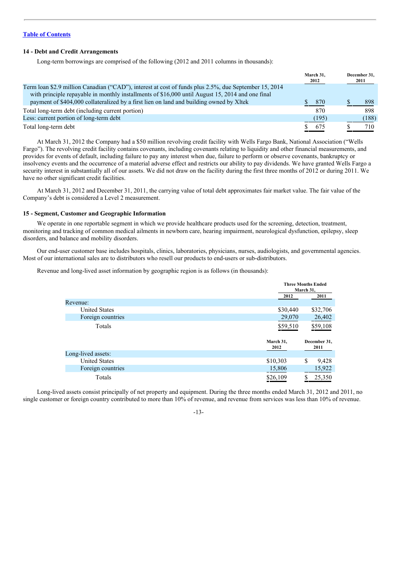# **14 - Debt and Credit Arrangements**

Long-term borrowings are comprised of the following (2012 and 2011 columns in thousands):

|                                                                                                                                                                                                                                                                                                      | March 31.<br>2012 | December 31,<br>2011 |
|------------------------------------------------------------------------------------------------------------------------------------------------------------------------------------------------------------------------------------------------------------------------------------------------------|-------------------|----------------------|
| Term Ioan \$2.9 million Canadian ("CAD"), interest at cost of funds plus 2.5%, due September 15, 2014<br>with principle repayable in monthly installments of \$16,000 until August 15, 2014 and one final<br>payment of \$404,000 collateralized by a first lien on land and building owned by Xltek | 870               | 898                  |
| Total long-term debt (including current portion)                                                                                                                                                                                                                                                     | 870               | 898                  |
| Less: current portion of long-term debt                                                                                                                                                                                                                                                              | (195)             | (188)                |
| Total long-term debt                                                                                                                                                                                                                                                                                 | 675               | 710.                 |

At March 31, 2012 the Company had a \$50 million revolving credit facility with Wells Fargo Bank, National Association ("Wells Fargo"). The revolving credit facility contains covenants, including covenants relating to liquidity and other financial measurements, and provides for events of default, including failure to pay any interest when due, failure to perform or observe covenants, bankruptcy or insolvency events and the occurrence of a material adverse effect and restricts our ability to pay dividends. We have granted Wells Fargo a security interest in substantially all of our assets. We did not draw on the facility during the first three months of 2012 or during 2011. We have no other significant credit facilities.

At March 31, 2012 and December 31, 2011, the carrying value of total debt approximates fair market value. The fair value of the Company's debt is considered a Level 2 measurement.

#### **15 - Segment, Customer and Geographic Information**

We operate in one reportable segment in which we provide healthcare products used for the screening, detection, treatment, monitoring and tracking of common medical ailments in newborn care, hearing impairment, neurological dysfunction, epilepsy, sleep disorders, and balance and mobility disorders.

Our end-user customer base includes hospitals, clinics, laboratories, physicians, nurses, audiologists, and governmental agencies. Most of our international sales are to distributors who resell our products to end-users or sub-distributors.

Revenue and long-lived asset information by geographic region is as follows (in thousands):

|                      |                   | <b>Three Months Ended</b><br>March 31, |  |
|----------------------|-------------------|----------------------------------------|--|
|                      | 2012              | 2011                                   |  |
| Revenue:             |                   |                                        |  |
| <b>United States</b> | \$30,440          | \$32,706                               |  |
| Foreign countries    | 29,070            | 26,402                                 |  |
| Totals               | \$59,510          | \$59,108                               |  |
|                      | March 31,<br>2012 | December 31,<br>2011                   |  |
| Long-lived assets:   |                   |                                        |  |
| <b>United States</b> | \$10,303          | \$<br>9,428                            |  |
| Foreign countries    | 15,806            | 15,922                                 |  |
| Totals               | \$26,109          | 25,350<br>S                            |  |

Long-lived assets consist principally of net property and equipment. During the three months ended March 31, 2012 and 2011, no single customer or foreign country contributed to more than 10% of revenue, and revenue from services was less than 10% of revenue.

### -13-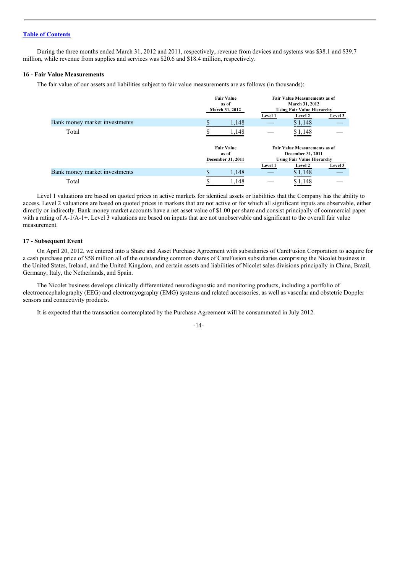During the three months ended March 31, 2012 and 2011, respectively, revenue from devices and systems was \$38.1 and \$39.7 million, while revenue from supplies and services was \$20.6 and \$18.4 million, respectively.

#### **16 - Fair Value Measurements**

The fair value of our assets and liabilities subject to fair value measurements are as follows (in thousands):

|                               | <b>Fair Value</b><br>as of<br>March 31, 2012    |         | <b>Fair Value Measurements as of</b><br>March 31, 2012<br><b>Using Fair Value Hierarchy</b>    |         |
|-------------------------------|-------------------------------------------------|---------|------------------------------------------------------------------------------------------------|---------|
|                               |                                                 | Level 1 | Level 2                                                                                        | Level 3 |
| Bank money market investments | \$<br>1,148                                     |         | \$1,148                                                                                        |         |
| Total                         | 1,148                                           |         | \$1,148                                                                                        |         |
|                               | <b>Fair Value</b><br>as of<br>December 31, 2011 |         | <b>Fair Value Measurements as of</b><br>December 31, 2011<br><b>Using Fair Value Hierarchy</b> |         |
|                               |                                                 | Level 1 | Level 2                                                                                        | Level 3 |
| Bank money market investments | 1,148                                           |         | \$1,148                                                                                        |         |
| Total                         | 1,148                                           |         | \$1,148                                                                                        |         |

Level 1 valuations are based on quoted prices in active markets for identical assets or liabilities that the Company has the ability to access. Level 2 valuations are based on quoted prices in markets that are not active or for which all significant inputs are observable, either directly or indirectly. Bank money market accounts have a net asset value of \$1.00 per share and consist principally of commercial paper with a rating of A-1/A-1+. Level 3 valuations are based on inputs that are not unobservable and significant to the overall fair value measurement.

# **17 - Subsequent Event**

On April 20, 2012, we entered into a Share and Asset Purchase Agreement with subsidiaries of CareFusion Corporation to acquire for a cash purchase price of \$58 million all of the outstanding common shares of CareFusion subsidiaries comprising the Nicolet business in the United States, Ireland, and the United Kingdom, and certain assets and liabilities of Nicolet sales divisions principally in China, Brazil, Germany, Italy, the Netherlands, and Spain.

The Nicolet business develops clinically differentiated neurodiagnostic and monitoring products, including a portfolio of electroencephalography (EEG) and electromyography (EMG) systems and related accessories, as well as vascular and obstetric Doppler sensors and connectivity products.

It is expected that the transaction contemplated by the Purchase Agreement will be consummated in July 2012.

#### -14-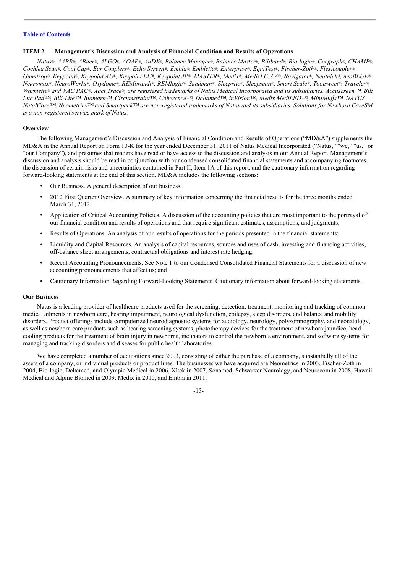# **ITEM 2. Management's Discussion and Analysis of Financial Condition and Results of Operations**

Natus®, AABR®, ABaer®, ALGO®, AOAE®, AuDX®, Balance Manager®, Balance Master®, Biliband®, Bio-logic®, Ceegraph®, CHAMP®, Cochlea Scan®, Cool Cap®, Ear Couplers®, Echo Screen®, Embla®, Embletta®, Enterprise®, EquiTest®, Fischer-Zoth®, Flexicoupler®, Gumdrop®, Keypoint®, Keypoint AU®, Keypoint EU®, Keypoint JP®, MASTER®, Medix®, MedixI.C.S.A®, Navigator®, Neatnick®, neoBLUE®, Neuromax®, NeuroWorks®, Oxydome®, REMbrandt®, REMlogic®, Sandman®, Sleeprite®, Sleepscan®, Smart Scale®, Tootsweet®, Traveler®, Warmette® and VAC PAC®, Xact Trace®, are registered trademarks of Natus Medical Incorporated and its subsidiaries. Accuscreen™, Bili *Lite Pad™, Bili-Lite™, Biomark™, Circumstraint™, Coherence™, Deltamed™, inVision™, Medix MediLED™, MiniMuf s™, NATUS* NatalCare™, Neometrics™ and Smartpack™ are non-registered trademarks of Natus and its subsidiaries. Solutions for Newborn CareSM *is a non-registered service mark of Natus.*

#### **Overview**

The following Management's Discussion and Analysis of Financial Condition and Results of Operations ("MD&A") supplements the MD&A in the Annual Report on Form 10-K for the year ended December 31, 2011 of Natus Medical Incorporated ("Natus," "we," "us," or "our Company"), and presumes that readers have read or have access to the discussion and analysis in our Annual Report. Management's discussion and analysis should be read in conjunction with our condensed consolidated financial statements and accompanying footnotes, the discussion of certain risks and uncertainties contained in Part II, Item 1A of this report, and the cautionary information regarding forward-looking statements at the end of this section. MD&A includes the following sections:

- Our Business. A general description of our business;
- 2012 First Quarter Overview. A summary of key information concerning the financial results for the three months ended March 31, 2012;
- Application of Critical Accounting Policies. A discussion of the accounting policies that are most important to the portrayal of our financial condition and results of operations and that require significant estimates, assumptions, and judgments;
- Results of Operations. An analysis of our results of operations for the periods presented in the financial statements;
- Liquidity and Capital Resources. An analysis of capital resources, sources and uses of cash, investing and financing activities, off-balance sheet arrangements, contractual obligations and interest rate hedging;
- Recent Accounting Pronouncements. See Note 1 to our Condensed Consolidated Financial Statements for a discussion of new accounting pronouncements that affect us; and
- Cautionary Information Regarding Forward-Looking Statements. Cautionary information about forward-looking statements.

#### **Our Business**

Natus is a leading provider of healthcare products used for the screening, detection, treatment, monitoring and tracking of common medical ailments in newborn care, hearing impairment, neurological dysfunction, epilepsy, sleep disorders, and balance and mobility disorders. Product offerings include computerized neurodiagnostic systems for audiology, neurology, polysomnography, and neonatology, as well as newborn care products such as hearing screening systems, phototherapy devices for the treatment of newborn jaundice, headcooling products for the treatment of brain injury in newborns, incubators to control the newborn's environment, and software systems for managing and tracking disorders and diseases for public health laboratories.

We have completed a number of acquisitions since 2003, consisting of either the purchase of a company, substantially all of the assets of a company, or individual products or product lines. The businesses we have acquired are Neometrics in 2003, Fischer-Zoth in 2004, Bio-logic, Deltamed, and Olympic Medical in 2006, Xltek in 2007, Sonamed, Schwarzer Neurology, and Neurocom in 2008, Hawaii Medical and Alpine Biomed in 2009, Medix in 2010, and Embla in 2011.

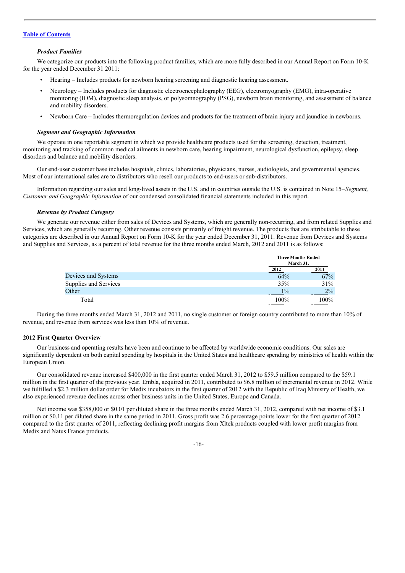#### *Product Families*

We categorize our products into the following product families, which are more fully described in our Annual Report on Form 10-K for the year ended December 31 2011:

- Hearing Includes products for newborn hearing screening and diagnostic hearing assessment.
- Neurology *–* Includes products for diagnostic electroencephalography (EEG), electromyography (EMG), intra-operative monitoring (IOM), diagnostic sleep analysis, or polysomnography (PSG), newborn brain monitoring, and assessment of balance and mobility disorders.
- Newborn Care Includes thermoregulation devices and products for the treatment of brain injury and jaundice in newborns.

#### *Segment and Geographic Information*

We operate in one reportable segment in which we provide healthcare products used for the screening, detection, treatment, monitoring and tracking of common medical ailments in newborn care, hearing impairment, neurological dysfunction, epilepsy, sleep disorders and balance and mobility disorders.

Our end-user customer base includes hospitals, clinics, laboratories, physicians, nurses, audiologists, and governmental agencies. Most of our international sales are to distributors who resell our products to end-users or sub-distributors.

Information regarding our sales and long-lived assets in the U.S. and in countries outside the U.S. is contained in Note 15–*Segment, Customer and Geographic Information* of our condensed consolidated financial statements included in this report.

#### *Revenue by Product Category*

We generate our revenue either from sales of Devices and Systems, which are generally non-recurring, and from related Supplies and Services, which are generally recurring. Other revenue consists primarily of freight revenue. The products that are attributable to these categories are described in our Annual Report on Form 10-K for the year ended December 31, 2011. Revenue from Devices and Systems and Supplies and Services, as a percent of total revenue for the three months ended March, 2012 and 2011 is as follows:

| 2012  | 2011                                   |
|-------|----------------------------------------|
| 64%   | 67%                                    |
| 35%   | 31%                                    |
| $1\%$ | $2\%$                                  |
| 100%  | $100\%$                                |
|       | <b>Three Months Ended</b><br>March 31, |

During the three months ended March 31, 2012 and 2011, no single customer or foreign country contributed to more than 10% of revenue, and revenue from services was less than 10% of revenue.

#### **2012 First Quarter Overview**

Our business and operating results have been and continue to be affected by worldwide economic conditions. Our sales are significantly dependent on both capital spending by hospitals in the United States and healthcare spending by ministries of health within the European Union.

Our consolidated revenue increased \$400,000 in the first quarter ended March 31, 2012 to \$59.5 million compared to the \$59.1 million in the first quarter of the previous year. Embla, acquired in 2011, contributed to \$6.8 million of incremental revenue in 2012. While we fulfilled a \$2.3 million dollar order for Medix incubators in the first quarter of 2012 with the Republic of Iraq Ministry of Health, we also experienced revenue declines across other business units in the United States, Europe and Canada.

Net income was \$358,000 or \$0.01 per diluted share in the three months ended March 31, 2012, compared with net income of \$3.1 million or \$0.11 per diluted share in the same period in 2011. Gross profit was 2.6 percentage points lower for the first quarter of 2012 compared to the first quarter of 2011, reflecting declining profit margins from Xltek products coupled with lower profit margins from Medix and Natus France products.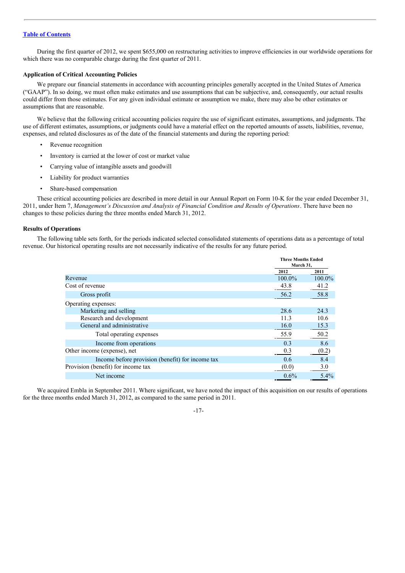During the first quarter of 2012, we spent \$655,000 on restructuring activities to improve efficiencies in our worldwide operations for which there was no comparable charge during the first quarter of 2011.

# **Application of Critical Accounting Policies**

We prepare our financial statements in accordance with accounting principles generally accepted in the United States of America ("GAAP"). In so doing, we must often make estimates and use assumptions that can be subjective, and, consequently, our actual results could differ from those estimates. For any given individual estimate or assumption we make, there may also be other estimates or assumptions that are reasonable.

We believe that the following critical accounting policies require the use of significant estimates, assumptions, and judgments. The use of different estimates, assumptions, or judgments could have a material effect on the reported amounts of assets, liabilities, revenue, expenses, and related disclosures as of the date of the financial statements and during the reporting period:

- Revenue recognition
- Inventory is carried at the lower of cost or market value
- Carrying value of intangible assets and goodwill
- Liability for product warranties
- Share-based compensation

These critical accounting policies are described in more detail in our Annual Report on Form 10-K for the year ended December 31, 2011, under Item 7, *Management's Discussion and Analysis of Financial Condition and Results of Operations*. There have been no changes to these policies during the three months ended March 31, 2012.

### **Results of Operations**

The following table sets forth, for the periods indicated selected consolidated statements of operations data as a percentage of total revenue. Our historical operating results are not necessarily indicative of the results for any future period.

|                                                  | <b>Three Months Ended</b><br>March 31, |        |
|--------------------------------------------------|----------------------------------------|--------|
|                                                  | 2012                                   | 2011   |
| Revenue                                          | 100.0%                                 | 100.0% |
| Cost of revenue                                  | 43.8                                   | 41.2   |
| Gross profit                                     | 56.2                                   | 58.8   |
| Operating expenses:                              |                                        |        |
| Marketing and selling                            | 28.6                                   | 24.3   |
| Research and development                         | 11.3                                   | 10.6   |
| General and administrative                       | 16.0                                   | 15.3   |
| Total operating expenses                         | 55.9                                   | 50.2   |
| Income from operations                           | 0.3                                    | 8.6    |
| Other income (expense), net                      | 0.3                                    | (0.2)  |
| Income before provision (benefit) for income tax | 0.6                                    | 8.4    |
| Provision (benefit) for income tax               | (0.0)                                  | 3.0    |
| Net income                                       | $0.6\%$                                | 5.4%   |

We acquired Embla in September 2011. Where significant, we have noted the impact of this acquisition on our results of operations for the three months ended March 31, 2012, as compared to the same period in 2011.

# -17-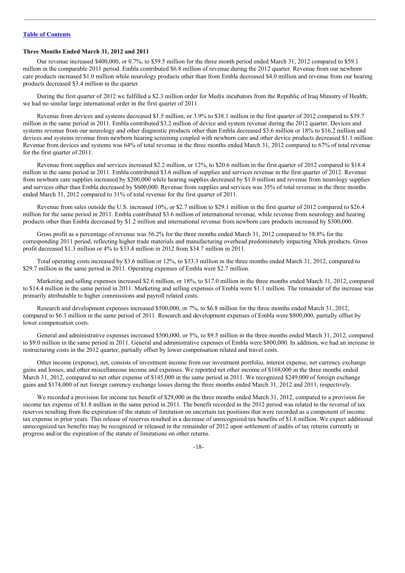## **Three Months Ended March 31, 2012 and 2011**

Our revenue increased \$400,000, or 0.7%, to \$59.5 million for the three month period ended March 31, 2012 compared to \$59.1 million in the comparable 2011 period. Embla contributed \$6.8 million of revenue during the 2012 quarter. Revenue from our newborn care products increased \$1.0 million while neurology products other than from Embla decreased \$4.0 million and revenue from our hearing products decreased \$3.4 million in the quarter.

During the first quarter of 2012 we fulfilled a \$2.3 million order for Medix incubators from the Republic of Iraq Ministry of Health; we had no similar large international order in the first quarter of 2011.

Revenue from devices and systems decreased \$1.5 million, or 3.9% to \$38.1 million in the first quarter of 2012 compared to \$39.7 million in the same period in 2011. Embla contributed \$3.2 million of device and system revenue during the 2012 quarter. Devices and systems revenue from our neurology and other diagnostic products other than Embla decreased \$3.6 million or 18% to \$16.2 million and devices and systems revenue from newborn hearing screening coupled with newborn care and other device products decreased \$1.1 million. Revenue from devices and systems was 64% of total revenue in the three months ended March 31, 2012 compared to 67% of total revenue for the first quarter of 2011.

Revenue from supplies and services increased \$2.2 million, or 12%, to \$20.6 million in the first quarter of 2012 compared to \$18.4 million in the same period in 2011. Embla contributed \$3.6 million of supplies and services revenue in the first quarter of 2012. Revenue from newborn care supplies increased by \$200,000 while hearing supplies decreased by \$1.0 million and revenue from neurology supplies and services other than Embla decreased by \$600,000. Revenue from supplies and services was 35% of total revenue in the three months ended March 31, 2012 compared to 31% of total revenue for the first quarter of 2011.

Revenue from sales outside the U.S. increased 10%, or \$2.7 million to \$29.1 million in the first quarter of 2012 compared to \$26.4 million for the same period in 2011. Embla contributed \$3.6 million of international revenue, while revenue from neurology and hearing products other than Embla decreased by \$1.2 million and international revenue from newborn care products increased by \$300,000.

Gross profit as a percentage of revenue was 56.2% for the three months ended March 31, 2012 compared to 58.8% for the corresponding 2011 period, reflecting higher trade materials and manufacturing overhead predominately impacting Xltek products. Gross profit decreased \$1.3 million or 4% to \$33.4 million in 2012 from \$34.7 million in 2011.

Total operating costs increased by \$3.6 million or 12%, to \$33.3 million in the three months ended March 31, 2012, compared to \$29.7 million in the same period in 2011. Operating expenses of Embla were \$2.7 million.

Marketing and selling expenses increased \$2.6 million, or 18%, to \$17.0 million in the three months ended March 31, 2012, compared to \$14.4 million in the same period in 2011. Marketing and selling expenses of Embla were \$1.1 million. The remainder of the increase was primarily attributable to higher commissions and payroll related costs.

Research and development expenses increased \$500,000, or 7%, to \$6.8 million for the three months ended March 31, 2012, compared to \$6.3 million in the same period of 2011. Research and development expenses of Embla were \$800,000, partially offset by lower compensation costs.

General and administrative expenses increased \$500,000, or 5%, to \$9.5 million in the three months ended March 31, 2012, compared to \$9.0 million in the same period in 2011. General and administrative expenses of Embla were \$800,000. In addition, we had an increase in restructuring costs in the 2012 quarter, partially offset by lower compensation related and travel costs.

Other income (expense), net, consists of investment income from our investment portfolio, interest expense, net currency exchange gains and losses, and other miscellaneous income and expenses. We reported net other income of \$168,000 in the three months ended March 31, 2012, compared to net other expense of \$145,000 in the same period in 2011. We recognized \$249,000 of foreign exchange gains and \$174,000 of net foreign currency exchange losses during the three months ended March 31, 2012 and 2011, respectively.

We recorded a provision for income tax benefit of \$29,000 in the three months ended March 31, 2012, compared to a provision for income tax expense of \$1.8 million in the same period in 2011. The benefit recorded in the 2012 period was related to the reversal of tax reserves resulting from the expiration of the statute of limitation on uncertain tax positions that were recorded as a component of income tax expense in prior years. This release of reserves resulted in a decrease of unrecognized tax benefits of \$1.6 million. We expect additional unrecognized tax benefits may be recognized or released in the remainder of 2012 upon settlement of audits of tax returns currently in progress and/or the expiration of the statute of limitations on other returns.

-18-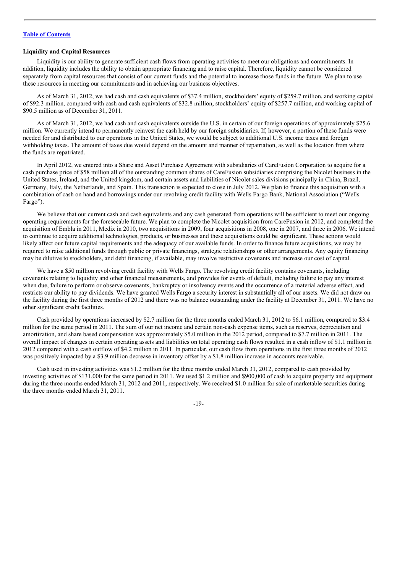# **Liquidity and Capital Resources**

Liquidity is our ability to generate sufficient cash flows from operating activities to meet our obligations and commitments. In addition, liquidity includes the ability to obtain appropriate financing and to raise capital. Therefore, liquidity cannot be considered separately from capital resources that consist of our current funds and the potential to increase those funds in the future. We plan to use these resources in meeting our commitments and in achieving our business objectives.

As of March 31, 2012, we had cash and cash equivalents of \$37.4 million, stockholders' equity of \$259.7 million, and working capital of \$92.3 million, compared with cash and cash equivalents of \$32.8 million, stockholders' equity of \$257.7 million, and working capital of \$90.5 million as of December 31, 2011.

As of March 31, 2012, we had cash and cash equivalents outside the U.S. in certain of our foreign operations of approximately \$25.6 million. We currently intend to permanently reinvest the cash held by our foreign subsidiaries. If, however, a portion of these funds were needed for and distributed to our operations in the United States, we would be subject to additional U.S. income taxes and foreign withholding taxes. The amount of taxes due would depend on the amount and manner of repatriation, as well as the location from where the funds are repatriated.

In April 2012, we entered into a Share and Asset Purchase Agreement with subsidiaries of CareFusion Corporation to acquire for a cash purchase price of \$58 million all of the outstanding common shares of CareFusion subsidiaries comprising the Nicolet business in the United States, Ireland, and the United kingdom, and certain assets and liabilities of Nicolet sales divisions principally in China, Brazil, Germany, Italy, the Netherlands, and Spain. This transaction is expected to close in July 2012. We plan to finance this acquisition with a combination of cash on hand and borrowings under our revolving credit facility with Wells Fargo Bank, National Association ("Wells Fargo").

We believe that our current cash and cash equivalents and any cash generated from operations will be sufficient to meet our ongoing operating requirements for the foreseeable future. We plan to complete the Nicolet acquisition from CareFusion in 2012, and completed the acquisition of Embla in 2011, Medix in 2010, two acquisitions in 2009, four acquisitions in 2008, one in 2007, and three in 2006. We intend to continue to acquire additional technologies, products, or businesses and these acquisitions could be significant. These actions would likely affect our future capital requirements and the adequacy of our available funds. In order to finance future acquisitions, we may be required to raise additional funds through public or private financings, strategic relationships or other arrangements. Any equity financing may be dilutive to stockholders, and debt financing, if available, may involve restrictive covenants and increase our cost of capital.

We have a \$50 million revolving credit facility with Wells Fargo. The revolving credit facility contains covenants, including covenants relating to liquidity and other financial measurements, and provides for events of default, including failure to pay any interest when due, failure to perform or observe covenants, bankruptcy or insolvency events and the occurrence of a material adverse effect, and restricts our ability to pay dividends. We have granted Wells Fargo a security interest in substantially all of our assets. We did not draw on the facility during the first three months of 2012 and there was no balance outstanding under the facility at December 31, 2011. We have no other significant credit facilities.

Cash provided by operations increased by \$2.7 million for the three months ended March 31, 2012 to \$6.1 million, compared to \$3.4 million for the same period in 2011. The sum of our net income and certain non-cash expense items, such as reserves, depreciation and amortization, and share based compensation was approximately \$5.0 million in the 2012 period, compared to \$7.7 million in 2011. The overall impact of changes in certain operating assets and liabilities on total operating cash flows resulted in a cash inflow of \$1.1 million in 2012 compared with a cash outflow of \$4.2 million in 2011. In particular, our cash flow from operations in the first three months of 2012 was positively impacted by a \$3.9 million decrease in inventory offset by a \$1.8 million increase in accounts receivable.

Cash used in investing activities was \$1.2 million for the three months ended March 31, 2012, compared to cash provided by investing activities of \$131,000 for the same period in 2011. We used \$1.2 million and \$900,000 of cash to acquire property and equipment during the three months ended March 31, 2012 and 2011, respectively. We received \$1.0 million for sale of marketable securities during the three months ended March 31, 2011.

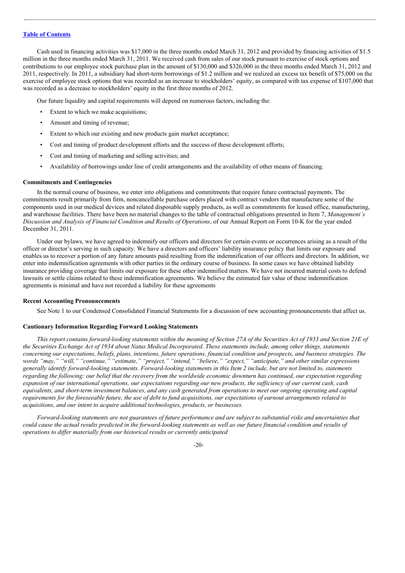Cash used in financing activities was \$17,000 in the three months ended March 31, 2012 and provided by financing activities of \$1.5 million in the three months ended March 31, 2011. We received cash from sales of our stock pursuant to exercise of stock options and contributions to our employee stock purchase plan in the amount of \$130,000 and \$326,000 in the three months ended March 31, 2012 and 2011, respectively. In 2011, a subsidiary had short-term borrowings of \$1.2 million and we realized an excess tax benefit of \$75,000 on the exercise of employee stock options that was recorded as an increase to stockholders' equity, as compared with tax expense of \$107,000 that was recorded as a decrease to stockholders' equity in the first three months of 2012.

Our future liquidity and capital requirements will depend on numerous factors, including the:

- Extent to which we make acquisitions;
- Amount and timing of revenue;
- Extent to which our existing and new products gain market acceptance;
- Cost and timing of product development efforts and the success of these development efforts;
- Cost and timing of marketing and selling activities; and
- Availability of borrowings under line of credit arrangements and the availability of other means of financing.

#### **Commitments and Contingencies**

In the normal course of business, we enter into obligations and commitments that require future contractual payments. The commitments result primarily from firm, noncancellable purchase orders placed with contract vendors that manufacture some of the components used in our medical devices and related disposable supply products, as well as commitments for leased office, manufacturing, and warehouse facilities. There have been no material changes to the table of contractual obligations presented in Item 7, *Management's Discussion and Analysis of Financial Condition and Results of Operations*, of our Annual Report on Form 10-K for the year ended December 31, 2011.

Under our bylaws, we have agreed to indemnify our officers and directors for certain events or occurrences arising as a result of the officer or director's serving in such capacity. We have a directors and officers' liability insurance policy that limits our exposure and enables us to recover a portion of any future amounts paid resulting from the indemnification of our officers and directors. In addition, we enter into indemnification agreements with other parties in the ordinary course of business. In some cases we have obtained liability insurance providing coverage that limits our exposure for these other indemnified matters. We have not incurred material costs to defend lawsuits or settle claims related to these indemnification agreements. We believe the estimated fair value of these indemnification agreements is minimal and have not recorded a liability for these agreements

#### **Recent Accounting Pronouncements**

See Note 1 to our Condensed Consolidated Financial Statements for a discussion of new accounting pronouncements that affect us.

#### **Cautionary Information Regarding Forward Looking Statements**

This report contains forward-looking statements within the meaning of Section 27A of the Securities Act of 1933 and Section 21E of the Securities Exchange Act of 1934 about Natus Medical Incorporated. These statements include, among other things, statements concerning our expectations, beliefs, plans, intentions, future operations, financial condition and prospects, and business strategies. The words "may," "will," "continue," "estimate," "project," "intend," "believe," "expect," "anticipate," and other similar expressions generally identify forward-looking statements. Forward-looking statements in this Item 2 include, but are not limited to, statements regarding the following: our belief that the recovery from the worldwide economic downturn has continued, our expectation regarding expansion of our international operations, our expectations regarding our new products, the sufficiency of our current cash, cash equivalents, and short-term investment balances, and any cash generated from operations to meet our ongoing operating and capital requirements for the foreseeable future, the use of debt to fund acquisitions, our expectations of earnout arrangements related to *acquisitions, and our intent to acquire additional technologies, products, or businesses.*

Forward-looking statements are not guarantees of future performance and are subject to substantial risks and uncertainties that could cause the actual results predicted in the forward-looking statements as well as our future financial condition and results of *operations to dif er materially from our historical results or currently anticipated*

-20-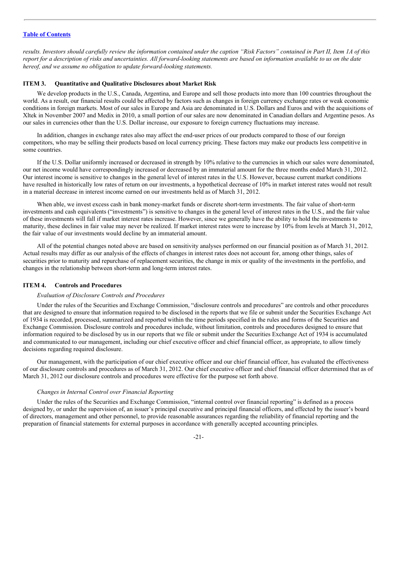results. Investors should carefully review the information contained under the caption "Risk Factors" contained in Part II. Item 1A of this report for a description of risks and uncertainties. All forward-looking statements are based on information available to us on the date *hereof, and we assume no obligation to update forward-looking statements.*

#### <span id="page-20-0"></span>**ITEM 3. Quantitative and Qualitative Disclosures about Market Risk**

We develop products in the U.S., Canada, Argentina, and Europe and sell those products into more than 100 countries throughout the world. As a result, our financial results could be affected by factors such as changes in foreign currency exchange rates or weak economic conditions in foreign markets. Most of our sales in Europe and Asia are denominated in U.S. Dollars and Euros and with the acquisitions of Xltek in November 2007 and Medix in 2010, a small portion of our sales are now denominated in Canadian dollars and Argentine pesos. As our sales in currencies other than the U.S. Dollar increase, our exposure to foreign currency fluctuations may increase.

In addition, changes in exchange rates also may affect the end-user prices of our products compared to those of our foreign competitors, who may be selling their products based on local currency pricing. These factors may make our products less competitive in some countries.

If the U.S. Dollar uniformly increased or decreased in strength by 10% relative to the currencies in which our sales were denominated, our net income would have correspondingly increased or decreased by an immaterial amount for the three months ended March 31, 2012. Our interest income is sensitive to changes in the general level of interest rates in the U.S. However, because current market conditions have resulted in historically low rates of return on our investments, a hypothetical decrease of 10% in market interest rates would not result in a material decrease in interest income earned on our investments held as of March 31, 2012.

When able, we invest excess cash in bank money-market funds or discrete short-term investments. The fair value of short-term investments and cash equivalents ("investments") is sensitive to changes in the general level of interest rates in the U.S., and the fair value of these investments will fall if market interest rates increase. However, since we generally have the ability to hold the investments to maturity, these declines in fair value may never be realized. If market interest rates were to increase by 10% from levels at March 31, 2012, the fair value of our investments would decline by an immaterial amount.

All of the potential changes noted above are based on sensitivity analyses performed on our financial position as of March 31, 2012. Actual results may differ as our analysis of the effects of changes in interest rates does not account for, among other things, sales of securities prior to maturity and repurchase of replacement securities, the change in mix or quality of the investments in the portfolio, and changes in the relationship between short-term and long-term interest rates.

## <span id="page-20-1"></span>**ITEM 4. Controls and Procedures**

#### *Evaluation of Disclosure Controls and Procedures*

Under the rules of the Securities and Exchange Commission, "disclosure controls and procedures" are controls and other procedures that are designed to ensure that information required to be disclosed in the reports that we file or submit under the Securities Exchange Act of 1934 is recorded, processed, summarized and reported within the time periods specified in the rules and forms of the Securities and Exchange Commission. Disclosure controls and procedures include, without limitation, controls and procedures designed to ensure that information required to be disclosed by us in our reports that we file or submit under the Securities Exchange Act of 1934 is accumulated and communicated to our management, including our chief executive officer and chief financial officer, as appropriate, to allow timely decisions regarding required disclosure.

Our management, with the participation of our chief executive officer and our chief financial officer, has evaluated the effectiveness of our disclosure controls and procedures as of March 31, 2012. Our chief executive officer and chief financial officer determined that as of March 31, 2012 our disclosure controls and procedures were effective for the purpose set forth above.

# *Changes in Internal Control over Financial Reporting*

Under the rules of the Securities and Exchange Commission, "internal control over financial reporting" is defined as a process designed by, or under the supervision of, an issuer's principal executive and principal financial officers, and effected by the issuer's board of directors, management and other personnel, to provide reasonable assurances regarding the reliability of financial reporting and the preparation of financial statements for external purposes in accordance with generally accepted accounting principles.

 $-21$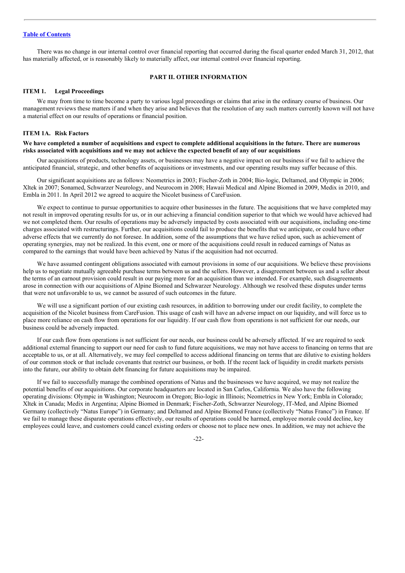There was no change in our internal control over financial reporting that occurred during the fiscal quarter ended March 31, 2012, that has materially affected, or is reasonably likely to materially affect, our internal control over financial reporting.

# <span id="page-21-0"></span>**PART II. OTHER INFORMATION**

#### <span id="page-21-1"></span>**ITEM 1. Legal Proceedings**

We may from time to time become a party to various legal proceedings or claims that arise in the ordinary course of business. Our management reviews these matters if and when they arise and believes that the resolution of any such matters currently known will not have a material effect on our results of operations or financial position.

#### <span id="page-21-2"></span>**ITEM 1A. Risk Factors**

# We have completed a number of acquisitions and expect to complete additional acquisitions in the future. There are numerous **risks associated with acquisitions and we may not achieve the expected benefit of any of our acquisitions**

Our acquisitions of products, technology assets, or businesses may have a negative impact on our business if we fail to achieve the anticipated financial, strategic, and other benefits of acquisitions or investments, and our operating results may suffer because of this.

Our significant acquisitions are as follows: Neometrics in 2003; Fischer-Zoth in 2004; Bio-logic, Deltamed, and Olympic in 2006; Xltek in 2007; Sonamed, Schwarzer Neurology, and Neurocom in 2008; Hawaii Medical and Alpine Biomed in 2009, Medix in 2010, and Embla in 2011. In April 2012 we agreed to acquire the Nicolet business of CareFusion.

We expect to continue to pursue opportunities to acquire other businesses in the future. The acquisitions that we have completed may not result in improved operating results for us, or in our achieving a financial condition superior to that which we would have achieved had we not completed them. Our results of operations may be adversely impacted by costs associated with our acquisitions, including one-time charges associated with restructurings. Further, our acquisitions could fail to produce the benefits that we anticipate, or could have other adverse effects that we currently do not foresee. In addition, some of the assumptions that we have relied upon, such as achievement of operating synergies, may not be realized. In this event, one or more of the acquisitions could result in reduced earnings of Natus as compared to the earnings that would have been achieved by Natus if the acquisition had not occurred.

We have assumed contingent obligations associated with earnout provisions in some of our acquisitions. We believe these provisions help us to negotiate mutually agreeable purchase terms between us and the sellers. However, a disagreement between us and a seller about the terms of an earnout provision could result in our paying more for an acquisition than we intended. For example, such disagreements arose in connection with our acquisitions of Alpine Biomed and Schwarzer Neurology. Although we resolved these disputes under terms that were not unfavorable to us, we cannot be assured of such outcomes in the future.

We will use a significant portion of our existing cash resources, in addition to borrowing under our credit facility, to complete the acquisition of the Nicolet business from CareFusion. This usage of cash will have an adverse impact on our liquidity, and will force us to place more reliance on cash flow from operations for our liquidity. If our cash flow from operations is not sufficient for our needs, our business could be adversely impacted.

If our cash flow from operations is not sufficient for our needs, our business could be adversely affected. If we are required to seek additional external financing to support our need for cash to fund future acquisitions, we may not have access to financing on terms that are acceptable to us, or at all. Alternatively, we may feel compelled to access additional financing on terms that are dilutive to existing holders of our common stock or that include covenants that restrict our business, or both. If the recent lack of liquidity in credit markets persists into the future, our ability to obtain debt financing for future acquisitions may be impaired.

If we fail to successfully manage the combined operations of Natus and the businesses we have acquired, we may not realize the potential benefits of our acquisitions. Our corporate headquarters are located in San Carlos, California. We also have the following operating divisions: Olympic in Washington; Neurocom in Oregon; Bio-logic in Illinois; Neometrics in New York; Embla in Colorado; Xltek in Canada; Medix in Argentina; Alpine Biomed in Denmark; Fischer-Zoth, Schwarzer Neurology, IT-Med, and Alpine Biomed Germany (collectively "Natus Europe") in Germany; and Deltamed and Alpine Biomed France (collectively "Natus France") in France. If we fail to manage these disparate operations effectively, our results of operations could be harmed, employee morale could decline, key employees could leave, and customers could cancel existing orders or choose not to place new ones. In addition, we may not achieve the

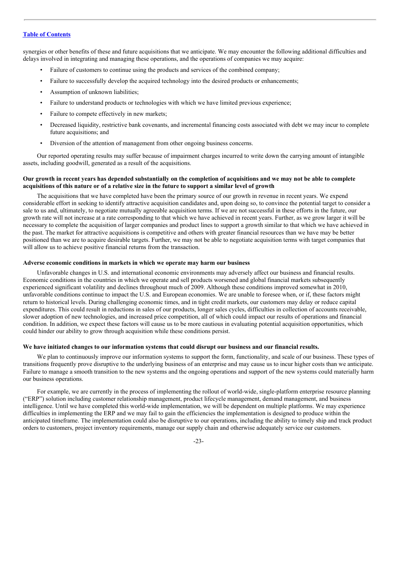synergies or other benefits of these and future acquisitions that we anticipate. We may encounter the following additional difficulties and delays involved in integrating and managing these operations, and the operations of companies we may acquire:

- Failure of customers to continue using the products and services of the combined company;
- Failure to successfully develop the acquired technology into the desired products or enhancements;
- Assumption of unknown liabilities;
- Failure to understand products or technologies with which we have limited previous experience;
- Failure to compete effectively in new markets;
- Decreased liquidity, restrictive bank covenants, and incremental financing costs associated with debt we may incur to complete future acquisitions; and
- Diversion of the attention of management from other ongoing business concerns.

Our reported operating results may suffer because of impairment charges incurred to write down the carrying amount of intangible assets, including goodwill, generated as a result of the acquisitions.

# Our growth in recent years has depended substantially on the completion of acquisitions and we may not be able to complete acquisitions of this nature or of a relative size in the future to support a similar level of growth

The acquisitions that we have completed have been the primary source of our growth in revenue in recent years. We expend considerable effort in seeking to identify attractive acquisition candidates and, upon doing so, to convince the potential target to consider a sale to us and, ultimately, to negotiate mutually agreeable acquisition terms. If we are not successful in these efforts in the future, our growth rate will not increase at a rate corresponding to that which we have achieved in recent years. Further, as we grow larger it will be necessary to complete the acquisition of larger companies and product lines to support a growth similar to that which we have achieved in the past. The market for attractive acquisitions is competitive and others with greater financial resources than we have may be better positioned than we are to acquire desirable targets. Further, we may not be able to negotiate acquisition terms with target companies that will allow us to achieve positive financial returns from the transaction.

#### **Adverse economic conditions in markets in which we operate may harm our business**

Unfavorable changes in U.S. and international economic environments may adversely affect our business and financial results. Economic conditions in the countries in which we operate and sell products worsened and global financial markets subsequently experienced significant volatility and declines throughout much of 2009. Although these conditions improved somewhat in 2010, unfavorable conditions continue to impact the U.S. and European economies. We are unable to foresee when, or if, these factors might return to historical levels. During challenging economic times, and in tight credit markets, our customers may delay or reduce capital expenditures. This could result in reductions in sales of our products, longer sales cycles, difficulties in collection of accounts receivable, slower adoption of new technologies, and increased price competition, all of which could impact our results of operations and financial condition. In addition, we expect these factors will cause us to be more cautious in evaluating potential acquisition opportunities, which could hinder our ability to grow through acquisition while these conditions persist.

# We have initiated changes to our information systems that could disrupt our business and our financial results.

We plan to continuously improve our information systems to support the form, functionality, and scale of our business. These types of transitions frequently prove disruptive to the underlying business of an enterprise and may cause us to incur higher costs than we anticipate. Failure to manage a smooth transition to the new systems and the ongoing operations and support of the new systems could materially harm our business operations.

For example, we are currently in the process of implementing the rollout of world-wide, single-platform enterprise resource planning ("ERP") solution including customer relationship management, product lifecycle management, demand management, and business intelligence. Until we have completed this world-wide implementation, we will be dependent on multiple platforms. We may experience difficulties in implementing the ERP and we may fail to gain the efficiencies the implementation is designed to produce within the anticipated timeframe. The implementation could also be disruptive to our operations, including the ability to timely ship and track product orders to customers, project inventory requirements, manage our supply chain and otherwise adequately service our customers.

 $-23$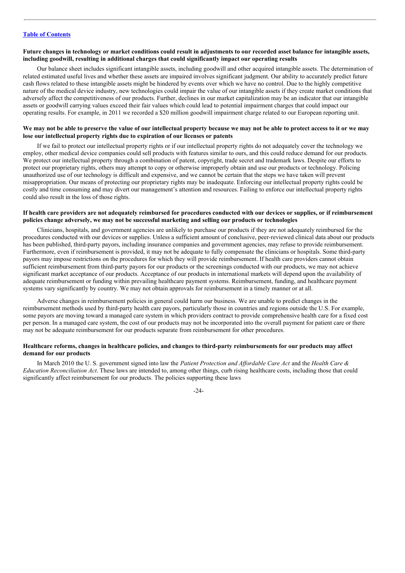# Future changes in technology or market conditions could result in adjustments to our recorded asset balance for intangible assets. **including goodwill, resulting in additional charges that could significantly impact our operating results**

Our balance sheet includes significant intangible assets, including goodwill and other acquired intangible assets. The determination of related estimated useful lives and whether these assets are impaired involves significant judgment. Our ability to accurately predict future cash flows related to these intangible assets might be hindered by events over which we have no control. Due to the highly competitive nature of the medical device industry, new technologies could impair the value of our intangible assets if they create market conditions that adversely affect the competitiveness of our products. Further, declines in our market capitalization may be an indicator that our intangible assets or goodwill carrying values exceed their fair values which could lead to potential impairment charges that could impact our operating results. For example, in 2011 we recorded a \$20 million goodwill impairment charge related to our European reporting unit.

### We may not be able to preserve the value of our intellectual property because we may not be able to protect access to it or we may **lose our intellectual property rights due to expiration of our licenses or patents**

If we fail to protect our intellectual property rights or if our intellectual property rights do not adequately cover the technology we employ, other medical device companies could sell products with features similar to ours, and this could reduce demand for our products. We protect our intellectual property through a combination of patent, copyright, trade secret and trademark laws. Despite our efforts to protect our proprietary rights, others may attempt to copy or otherwise improperly obtain and use our products or technology. Policing unauthorized use of our technology is difficult and expensive, and we cannot be certain that the steps we have taken will prevent misappropriation. Our means of protecting our proprietary rights may be inadequate. Enforcing our intellectual property rights could be costly and time consuming and may divert our management's attention and resources. Failing to enforce our intellectual property rights could also result in the loss of those rights.

# If health care providers are not adequately reimbursed for procedures conducted with our devices or supplies, or if reimbursement **policies change adversely, we may not be successful marketing and selling our products or technologies**

Clinicians, hospitals, and government agencies are unlikely to purchase our products if they are not adequately reimbursed for the procedures conducted with our devices or supplies. Unless a sufficient amount of conclusive, peer-reviewed clinical data about our products has been published, third-party payors, including insurance companies and government agencies, may refuse to provide reimbursement. Furthermore, even if reimbursement is provided, it may not be adequate to fully compensate the clinicians or hospitals. Some third-party payors may impose restrictions on the procedures for which they will provide reimbursement. If health care providers cannot obtain sufficient reimbursement from third-party payors for our products or the screenings conducted with our products, we may not achieve significant market acceptance of our products. Acceptance of our products in international markets will depend upon the availability of adequate reimbursement or funding within prevailing healthcare payment systems. Reimbursement, funding, and healthcare payment systems vary significantly by country. We may not obtain approvals for reimbursement in a timely manner or at all.

Adverse changes in reimbursement policies in general could harm our business. We are unable to predict changes in the reimbursement methods used by third-party health care payors, particularly those in countries and regions outside the U.S. For example, some payors are moving toward a managed care system in which providers contract to provide comprehensive health care for a fixed cost per person. In a managed care system, the cost of our products may not be incorporated into the overall payment for patient care or there may not be adequate reimbursement for our products separate from reimbursement for other procedures.

# Healthcare reforms, changes in healthcare policies, and changes to third-party reimbursements for our products may affect **demand for our products**

In March 2010 the U. S. government signed into law the *Patient Protection and Affordable Care Act* and the *Health Care & Education Reconciliation Act*. These laws are intended to, among other things, curb rising healthcare costs, including those that could significantly affect reimbursement for our products. The policies supporting these laws

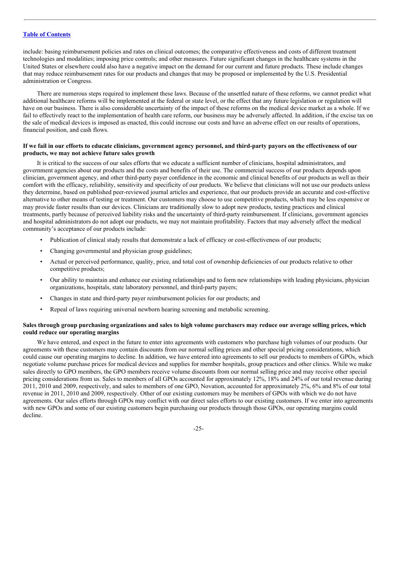include: basing reimbursement policies and rates on clinical outcomes; the comparative effectiveness and costs of different treatment technologies and modalities; imposing price controls; and other measures. Future significant changes in the healthcare systems in the United States or elsewhere could also have a negative impact on the demand for our current and future products. These include changes that may reduce reimbursement rates for our products and changes that may be proposed or implemented by the U.S. Presidential administration or Congress.

There are numerous steps required to implement these laws. Because of the unsettled nature of these reforms, we cannot predict what additional healthcare reforms will be implemented at the federal or state level, or the effect that any future legislation or regulation will have on our business. There is also considerable uncertainty of the impact of these reforms on the medical device market as a whole. If we fail to effectively react to the implementation of health care reform, our business may be adversely affected. In addition, if the excise tax on the sale of medical devices is imposed as enacted, this could increase our costs and have an adverse effect on our results of operations, financial position, and cash flows.

### If we fail in our efforts to educate clinicians, government agency personnel, and third-party payors on the effectiveness of our **products, we may not achieve future sales growth**

It is critical to the success of our sales efforts that we educate a sufficient number of clinicians, hospital administrators, and government agencies about our products and the costs and benefits of their use. The commercial success of our products depends upon clinician, government agency, and other third-party payer confidence in the economic and clinical benefits of our products as well as their comfort with the efficacy, reliability, sensitivity and specificity of our products. We believe that clinicians will not use our products unless they determine, based on published peer-reviewed journal articles and experience, that our products provide an accurate and cost-effective alternative to other means of testing or treatment. Our customers may choose to use competitive products, which may be less expensive or may provide faster results than our devices. Clinicians are traditionally slow to adopt new products, testing practices and clinical treatments, partly because of perceived liability risks and the uncertainty of third-party reimbursement. If clinicians, government agencies and hospital administrators do not adopt our products, we may not maintain profitability. Factors that may adversely affect the medical community's acceptance of our products include:

- Publication of clinical study results that demonstrate a lack of efficacy or cost-effectiveness of our products;
- Changing governmental and physician group guidelines;
- Actual or perceived performance, quality, price, and total cost of ownership deficiencies of our products relative to other competitive products;
- Our ability to maintain and enhance our existing relationships and to form new relationships with leading physicians, physician organizations, hospitals, state laboratory personnel, and third-party payers;
- Changes in state and third-party payer reimbursement policies for our products; and
- Repeal of laws requiring universal newborn hearing screening and metabolic screening.

# Sales through group purchasing organizations and sales to high volume purchasers may reduce our average selling prices, which **could reduce our operating margins**

We have entered, and expect in the future to enter into agreements with customers who purchase high volumes of our products. Our agreements with these customers may contain discounts from our normal selling prices and other special pricing considerations, which could cause our operating margins to decline. In addition, we have entered into agreements to sell our products to members of GPOs, which negotiate volume purchase prices for medical devices and supplies for member hospitals, group practices and other clinics. While we make sales directly to GPO members, the GPO members receive volume discounts from our normal selling price and may receive other special pricing considerations from us. Sales to members of all GPOs accounted for approximately 12%, 18% and 24% of our total revenue during 2011, 2010 and 2009, respectively, and sales to members of one GPO, Novation, accounted for approximately 2%, 6% and 8% of our total revenue in 2011, 2010 and 2009, respectively. Other of our existing customers may be members of GPOs with which we do not have agreements. Our sales efforts through GPOs may conflict with our direct sales efforts to our existing customers. If we enter into agreements with new GPOs and some of our existing customers begin purchasing our products through those GPOs, our operating margins could decline.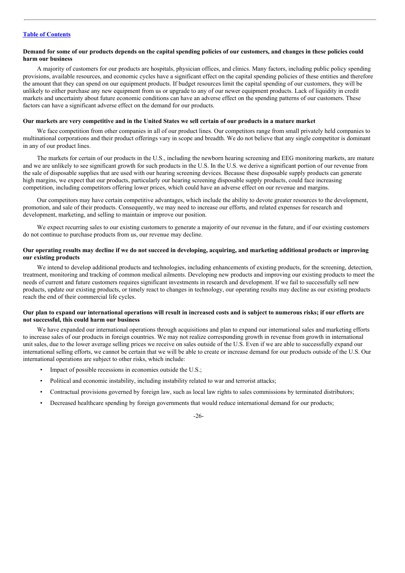# Demand for some of our products depends on the capital spending policies of our customers, and changes in these policies could **harm our business**

A majority of customers for our products are hospitals, physician offices, and clinics. Many factors, including public policy spending provisions, available resources, and economic cycles have a significant effect on the capital spending policies of these entities and therefore the amount that they can spend on our equipment products. If budget resources limit the capital spending of our customers, they will be unlikely to either purchase any new equipment from us or upgrade to any of our newer equipment products. Lack of liquidity in credit markets and uncertainty about future economic conditions can have an adverse effect on the spending patterns of our customers. These factors can have a significant adverse effect on the demand for our products.

#### Our markets are very competitive and in the United States we sell certain of our products in a mature market

We face competition from other companies in all of our product lines. Our competitors range from small privately held companies to multinational corporations and their product offerings vary in scope and breadth. We do not believe that any single competitor is dominant in any of our product lines.

The markets for certain of our products in the U.S., including the newborn hearing screening and EEG monitoring markets, are mature and we are unlikely to see significant growth for such products in the U.S. In the U.S. we derive a significant portion of our revenue from the sale of disposable supplies that are used with our hearing screening devices. Because these disposable supply products can generate high margins, we expect that our products, particularly our hearing screening disposable supply products, could face increasing competition, including competitors offering lower prices, which could have an adverse effect on our revenue and margins.

Our competitors may have certain competitive advantages, which include the ability to devote greater resources to the development, promotion, and sale of their products. Consequently, we may need to increase our efforts, and related expenses for research and development, marketing, and selling to maintain or improve our position.

We expect recurring sales to our existing customers to generate a majority of our revenue in the future, and if our existing customers do not continue to purchase products from us, our revenue may decline.

# Our operating results may decline if we do not succeed in developing, acquiring, and marketing additional products or improving **our existing products**

We intend to develop additional products and technologies, including enhancements of existing products, for the screening, detection, treatment, monitoring and tracking of common medical ailments. Developing new products and improving our existing products to meet the needs of current and future customers requires significant investments in research and development. If we fail to successfully sell new products, update our existing products, or timely react to changes in technology, our operating results may decline as our existing products reach the end of their commercial life cycles.

#### Our plan to expand our international operations will result in increased costs and is subject to numerous risks; if our efforts are **not successful, this could harm our business**

We have expanded our international operations through acquisitions and plan to expand our international sales and marketing efforts to increase sales of our products in foreign countries. We may not realize corresponding growth in revenue from growth in international unit sales, due to the lower average selling prices we receive on sales outside of the U.S. Even if we are able to successfully expand our international selling efforts, we cannot be certain that we will be able to create or increase demand for our products outside of the U.S. Our international operations are subject to other risks, which include:

- Impact of possible recessions in economies outside the U.S.;
- Political and economic instability, including instability related to war and terrorist attacks;
- Contractual provisions governed by foreign law, such as local law rights to sales commissions by terminated distributors;
- Decreased healthcare spending by foreign governments that would reduce international demand for our products;

#### -26-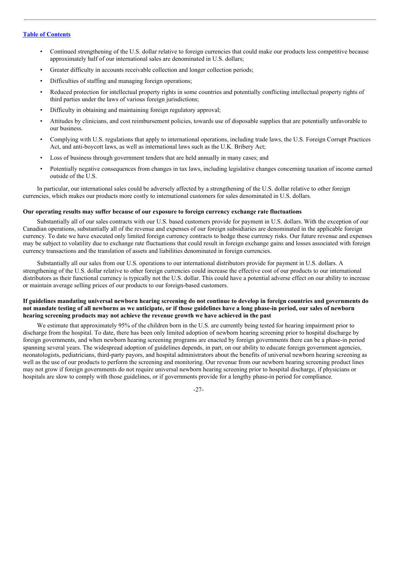- Continued strengthening of the U.S. dollar relative to foreign currencies that could make our products less competitive because approximately half of our international sales are denominated in U.S. dollars;
- Greater difficulty in accounts receivable collection and longer collection periods;
- Difficulties of staffing and managing foreign operations;
- Reduced protection for intellectual property rights in some countries and potentially conflicting intellectual property rights of third parties under the laws of various foreign jurisdictions;
- Difficulty in obtaining and maintaining foreign regulatory approval;
- Attitudes by clinicians, and cost reimbursement policies, towards use of disposable supplies that are potentially unfavorable to our business.
- Complying with U.S. regulations that apply to international operations, including trade laws, the U.S. Foreign Corrupt Practices Act, and anti-boycott laws, as well as international laws such as the U.K. Bribery Act;
- Loss of business through government tenders that are held annually in many cases; and
- Potentially negative consequences from changes in tax laws, including legislative changes concerning taxation of income earned outside of the U.S.

In particular, our international sales could be adversely affected by a strengthening of the U.S. dollar relative to other foreign currencies, which makes our products more costly to international customers for sales denominated in U.S. dollars.

### **Our operating results may suffer because of our exposure to foreign currency exchange rate fluctuations**

Substantially all of our sales contracts with our U.S. based customers provide for payment in U.S. dollars. With the exception of our Canadian operations, substantially all of the revenue and expenses of our foreign subsidiaries are denominated in the applicable foreign currency. To date we have executed only limited foreign currency contracts to hedge these currency risks. Our future revenue and expenses may be subject to volatility due to exchange rate fluctuations that could result in foreign exchange gains and losses associated with foreign currency transactions and the translation of assets and liabilities denominated in foreign currencies.

Substantially all our sales from our U.S. operations to our international distributors provide for payment in U.S. dollars. A strengthening of the U.S. dollar relative to other foreign currencies could increase the effective cost of our products to our international distributors as their functional currency is typically not the U.S. dollar. This could have a potential adverse effect on our ability to increase or maintain average selling prices of our products to our foreign-based customers.

# If guidelines mandating universal newborn hearing screening do not continue to develop in foreign countries and governments do not mandate testing of all newborns as we anticipate, or if those guidelines have a long phase-in period, our sales of newborn **hearing screening products may not achieve the revenue growth we have achieved in the past**

We estimate that approximately 95% of the children born in the U.S. are currently being tested for hearing impairment prior to discharge from the hospital. To date, there has been only limited adoption of newborn hearing screening prior to hospital discharge by foreign governments, and when newborn hearing screening programs are enacted by foreign governments there can be a phase-in period spanning several years. The widespread adoption of guidelines depends, in part, on our ability to educate foreign government agencies, neonatologists, pediatricians, third-party payors, and hospital administrators about the benefits of universal newborn hearing screening as well as the use of our products to perform the screening and monitoring. Our revenue from our newborn hearing screening product lines may not grow if foreign governments do not require universal newborn hearing screening prior to hospital discharge, if physicians or hospitals are slow to comply with those guidelines, or if governments provide for a lengthy phase-in period for compliance.

-27-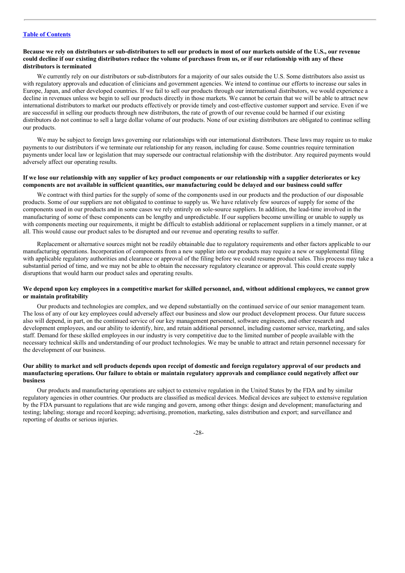# Because we rely on distributors or sub-distributors to sell our products in most of our markets outside of the U.S., our revenue could decline if our existing distributors reduce the volume of purchases from us, or if our relationship with any of these **distributors is terminated**

We currently rely on our distributors or sub-distributors for a majority of our sales outside the U.S. Some distributors also assist us with regulatory approvals and education of clinicians and government agencies. We intend to continue our efforts to increase our sales in Europe, Japan, and other developed countries. If we fail to sell our products through our international distributors, we would experience a decline in revenues unless we begin to sell our products directly in those markets. We cannot be certain that we will be able to attract new international distributors to market our products effectively or provide timely and cost-effective customer support and service. Even if we are successful in selling our products through new distributors, the rate of growth of our revenue could be harmed if our existing distributors do not continue to sell a large dollar volume of our products. None of our existing distributors are obligated to continue selling our products.

We may be subject to foreign laws governing our relationships with our international distributors. These laws may require us to make payments to our distributors if we terminate our relationship for any reason, including for cause. Some countries require termination payments under local law or legislation that may supersede our contractual relationship with the distributor. Any required payments would adversely affect our operating results.

# If we lose our relationship with any supplier of key product components or our relationship with a supplier deteriorates or key components are not available in sufficient quantities, our manufacturing could be delayed and our business could suffer

We contract with third parties for the supply of some of the components used in our products and the production of our disposable products. Some of our suppliers are not obligated to continue to supply us. We have relatively few sources of supply for some of the components used in our products and in some cases we rely entirely on sole-source suppliers. In addition, the lead-time involved in the manufacturing of some of these components can be lengthy and unpredictable. If our suppliers become unwilling or unable to supply us with components meeting our requirements, it might be difficult to establish additional or replacement suppliers in a timely manner, or at all. This would cause our product sales to be disrupted and our revenue and operating results to suffer.

Replacement or alternative sources might not be readily obtainable due to regulatory requirements and other factors applicable to our manufacturing operations. Incorporation of components from a new supplier into our products may require a new or supplemental filing with applicable regulatory authorities and clearance or approval of the filing before we could resume product sales. This process may take a substantial period of time, and we may not be able to obtain the necessary regulatory clearance or approval. This could create supply disruptions that would harm our product sales and operating results.

### We depend upon key employees in a competitive market for skilled personnel, and, without additional employees, we cannot grow **or maintain profitability**

Our products and technologies are complex, and we depend substantially on the continued service of our senior management team. The loss of any of our key employees could adversely affect our business and slow our product development process. Our future success also will depend, in part, on the continued service of our key management personnel, software engineers, and other research and development employees, and our ability to identify, hire, and retain additional personnel, including customer service, marketing, and sales staff. Demand for these skilled employees in our industry is very competitive due to the limited number of people available with the necessary technical skills and understanding of our product technologies. We may be unable to attract and retain personnel necessary for the development of our business.

### Our ability to market and sell products depends upon receipt of domestic and foreign regulatory approval of our products and manufacturing operations. Our failure to obtain or maintain regulatory approvals and compliance could negatively affect our **business**

Our products and manufacturing operations are subject to extensive regulation in the United States by the FDA and by similar regulatory agencies in other countries. Our products are classified as medical devices. Medical devices are subject to extensive regulation by the FDA pursuant to regulations that are wide ranging and govern, among other things: design and development; manufacturing and testing; labeling; storage and record keeping; advertising, promotion, marketing, sales distribution and export; and surveillance and reporting of deaths or serious injuries.

-28-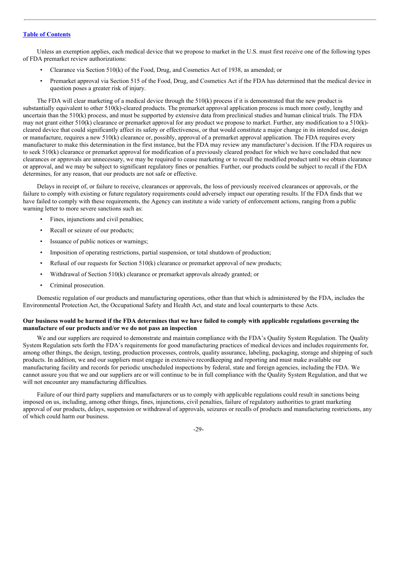Unless an exemption applies, each medical device that we propose to market in the U.S. must first receive one of the following types of FDA premarket review authorizations:

- Clearance via Section 510(k) of the Food, Drug, and Cosmetics Act of 1938, as amended; or
- Premarket approval via Section 515 of the Food, Drug, and Cosmetics Act if the FDA has determined that the medical device in question poses a greater risk of injury.

The FDA will clear marketing of a medical device through the  $510(k)$  process if it is demonstrated that the new product is substantially equivalent to other 510(k)-cleared products. The premarket approval application process is much more costly, lengthy and uncertain than the 510(k) process, and must be supported by extensive data from preclinical studies and human clinical trials. The FDA may not grant either 510(k) clearance or premarket approval for any product we propose to market. Further, any modification to a 510(k) cleared device that could significantly affect its safety or effectiveness, or that would constitute a major change in its intended use, design or manufacture, requires a new 510(k) clearance or, possibly, approval of a premarket approval application. The FDA requires every manufacturer to make this determination in the first instance, but the FDA may review any manufacturer's decision. If the FDA requires us to seek 510(k) clearance or premarket approval for modification of a previously cleared product for which we have concluded that new clearances or approvals are unnecessary, we may be required to cease marketing or to recall the modified product until we obtain clearance or approval, and we may be subject to significant regulatory fines or penalties. Further, our products could be subject to recall if the FDA determines, for any reason, that our products are not safe or effective.

Delays in receipt of, or failure to receive, clearances or approvals, the loss of previously received clearances or approvals, or the failure to comply with existing or future regulatory requirements could adversely impact our operating results. If the FDA finds that we have failed to comply with these requirements, the Agency can institute a wide variety of enforcement actions, ranging from a public warning letter to more severe sanctions such as:

- Fines, injunctions and civil penalties;
- Recall or seizure of our products;
- Issuance of public notices or warnings;
- Imposition of operating restrictions, partial suspension, or total shutdown of production;
- Refusal of our requests for Section 510(k) clearance or premarket approval of new products;
- Withdrawal of Section 510(k) clearance or premarket approvals already granted; or
- Criminal prosecution.

Domestic regulation of our products and manufacturing operations, other than that which is administered by the FDA, includes the Environmental Protection Act, the Occupational Safety and Health Act, and state and local counterparts to these Acts.

### Our business would be harmed if the FDA determines that we have failed to comply with applicable regulations governing the **manufacture of our products and/or we do not pass an inspection**

We and our suppliers are required to demonstrate and maintain compliance with the FDA's Quality System Regulation. The Quality System Regulation sets forth the FDA's requirements for good manufacturing practices of medical devices and includes requirements for, among other things, the design, testing, production processes, controls, quality assurance, labeling, packaging, storage and shipping of such products. In addition, we and our suppliers must engage in extensive recordkeeping and reporting and must make available our manufacturing facility and records for periodic unscheduled inspections by federal, state and foreign agencies, including the FDA. We cannot assure you that we and our suppliers are or will continue to be in full compliance with the Quality System Regulation, and that we will not encounter any manufacturing difficulties.

Failure of our third party suppliers and manufacturers or us to comply with applicable regulations could result in sanctions being imposed on us, including, among other things, fines, injunctions, civil penalties, failure of regulatory authorities to grant marketing approval of our products, delays, suspension or withdrawal of approvals, seizures or recalls of products and manufacturing restrictions, any of which could harm our business.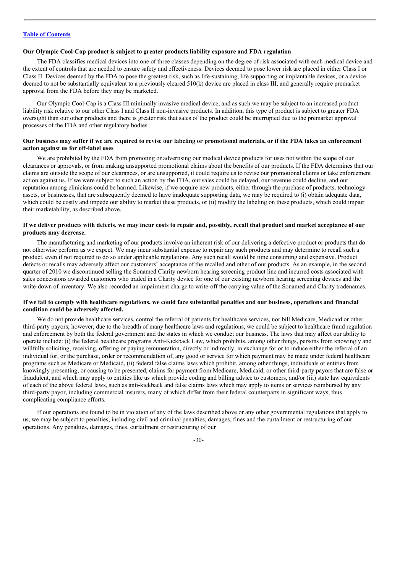# **Our Olympic Cool-Cap product is subject to greater products liability exposure and FDA regulation**

The FDA classifies medical devices into one of three classes depending on the degree of risk associated with each medical device and the extent of controls that are needed to ensure safety and effectiveness. Devices deemed to pose lower risk are placed in either Class I or Class II. Devices deemed by the FDA to pose the greatest risk, such as life-sustaining, life supporting or implantable devices, or a device deemed to not be substantially equivalent to a previously cleared 510(k) device are placed in class III, and generally require premarket approval from the FDA before they may be marketed.

Our Olympic Cool-Cap is a Class III minimally invasive medical device, and as such we may be subject to an increased product liability risk relative to our other Class I and Class II non-invasive products. In addition, this type of product is subject to greater FDA oversight than our other products and there is greater risk that sales of the product could be interrupted due to the premarket approval processes of the FDA and other regulatory bodies.

# Our business may suffer if we are required to revise our labeling or promotional materials, or if the FDA takes an enforcement **action against us for off-label uses**

We are prohibited by the FDA from promoting or advertising our medical device products for uses not within the scope of our clearances or approvals, or from making unsupported promotional claims about the benefits of our products. If the FDA determines that our claims are outside the scope of our clearances, or are unsupported, it could require us to revise our promotional claims or take enforcement action against us. If we were subject to such an action by the FDA, our sales could be delayed, our revenue could decline, and our reputation among clinicians could be harmed. Likewise, if we acquire new products, either through the purchase of products, technology assets, or businesses, that are subsequently deemed to have inadequate supporting data, we may be required to (i) obtain adequate data, which could be costly and impede our ability to market these products, or (ii) modify the labeling on these products, which could impair their marketability, as described above.

### If we deliver products with defects, we may incur costs to repair and, possibly, recall that product and market acceptance of our **products may decrease.**

The manufacturing and marketing of our products involve an inherent risk of our delivering a defective product or products that do not otherwise perform as we expect. We may incur substantial expense to repair any such products and may determine to recall such a product, even if not required to do so under applicable regulations. Any such recall would be time consuming and expensive. Product defects or recalls may adversely affect our customers' acceptance of the recalled and other of our products. As an example, in the second quarter of 2010 we discontinued selling the Sonamed Clarity newborn hearing screening product line and incurred costs associated with sales concessions awarded customers who traded in a Clarity device for one of our existing newborn hearing screening devices and the write-down of inventory. We also recorded an impairment charge to write-off the carrying value of the Sonamed and Clarity tradenames.

# If we fail to comply with healthcare regulations, we could face substantial penalties and our business, operations and financial **condition could be adversely affected.**

We do not provide healthcare services, control the referral of patients for healthcare services, nor bill Medicare, Medicaid or other third-party payors; however, due to the breadth of many healthcare laws and regulations, we could be subject to healthcare fraud regulation and enforcement by both the federal government and the states in which we conduct our business. The laws that may affect our ability to operate include: (i) the federal healthcare programs Anti-Kickback Law, which prohibits, among other things, persons from knowingly and willfully soliciting, receiving, offering or paying remuneration, directly or indirectly, in exchange for or to induce either the referral of an individual for, or the purchase, order or recommendation of, any good or service for which payment may be made under federal healthcare programs such as Medicare or Medicaid, (ii) federal false claims laws which prohibit, among other things, individuals or entities from knowingly presenting, or causing to be presented, claims for payment from Medicare, Medicaid, or other third-party payors that are false or fraudulent, and which may apply to entities like us which provide coding and billing advice to customers, and/or (iii) state law equivalents of each of the above federal laws, such as anti-kickback and false claims laws which may apply to items or services reimbursed by any third-party payor, including commercial insurers, many of which differ from their federal counterparts in significant ways, thus complicating compliance efforts.

If our operations are found to be in violation of any of the laws described above or any other governmental regulations that apply to us, we may be subject to penalties, including civil and criminal penalties, damages, fines and the curtailment or restructuring of our operations. Any penalties, damages, fines, curtailment or restructuring of our

 $-30$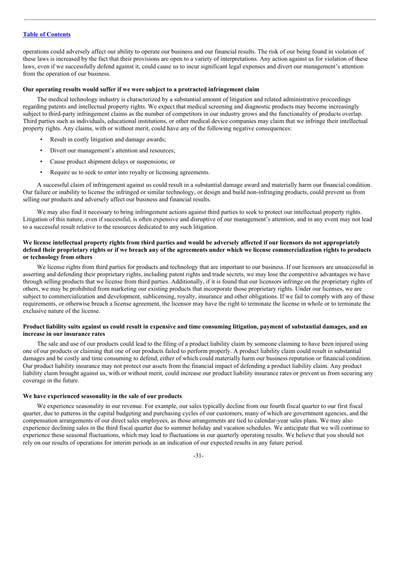operations could adversely affect our ability to operate our business and our financial results. The risk of our being found in violation of these laws is increased by the fact that their provisions are open to a variety of interpretations. Any action against us for violation of these laws, even if we successfully defend against it, could cause us to incur significant legal expenses and divert our management's attention from the operation of our business.

#### **Our operating results would suffer if we were subject to a protracted infringement claim**

The medical technology industry is characterized by a substantial amount of litigation and related administrative proceedings regarding patents and intellectual property rights. We expect that medical screening and diagnostic products may become increasingly subject to third-party infringement claims as the number of competitors in our industry grows and the functionality of products overlap. Third parties such as individuals, educational institutions, or other medical device companies may claim that we infringe their intellectual property rights. Any claims, with or without merit, could have any of the following negative consequences:

- Result in costly litigation and damage awards;
- Divert our management's attention and resources;
- Cause product shipment delays or suspensions; or
- Require us to seek to enter into royalty or licensing agreements.

A successful claim of infringement against us could result in a substantial damage award and materially harm our financial condition. Our failure or inability to license the infringed or similar technology, or design and build non-infringing products, could prevent us from selling our products and adversely affect our business and financial results.

We may also find it necessary to bring infringement actions against third parties to seek to protect our intellectual property rights. Litigation of this nature, even if successful, is often expensive and disruptive of our management's attention, and in any event may not lead to a successful result relative to the resources dedicated to any such litigation.

# We license intellectual property rights from third parties and would be adversely affected if our licensors do not appropriately defend their proprietary rights or if we breach any of the agreements under which we license commercialization rights to products **or technology from others**

We license rights from third parties for products and technology that are important to our business. If our licensors are unsuccessful in asserting and defending their proprietary rights, including patent rights and trade secrets, we may lose the competitive advantages we have through selling products that we license from third parties. Additionally, if it is found that our licensors infringe on the proprietary rights of others, we may be prohibited from marketing our existing products that incorporate those proprietary rights. Under our licenses, we are subject to commercialization and development, sublicensing, royalty, insurance and other obligations. If we fail to comply with any of these requirements, or otherwise breach a license agreement, the licensor may have the right to terminate the license in whole or to terminate the exclusive nature of the license.

# Product liability suits against us could result in expensive and time consuming litigation, payment of substantial damages, and an **increase in our insurance rates**

The sale and use of our products could lead to the filing of a product liability claim by someone claiming to have been injured using one of our products or claiming that one of our products failed to perform properly. A product liability claim could result in substantial damages and be costly and time consuming to defend, either of which could materially harm our business reputation or financial condition. Our product liability insurance may not protect our assets from the financial impact of defending a product liability claim. Any product liability claim brought against us, with or without merit, could increase our product liability insurance rates or prevent us from securing any coverage in the future.

# **We have experienced seasonality in the sale of our products**

We experience seasonality in our revenue. For example, our sales typically decline from our fourth fiscal quarter to our first fiscal quarter, due to patterns in the capital budgeting and purchasing cycles of our customers, many of which are government agencies, and the compensation arrangements of our direct sales employees, as those arrangements are tied to calendar-year sales plans. We may also experience declining sales in the third fiscal quarter due to summer holiday and vacation schedules. We anticipate that we will continue to experience these seasonal fluctuations, which may lead to fluctuations in our quarterly operating results. We believe that you should not rely on our results of operations for interim periods as an indication of our expected results in any future period.

-31-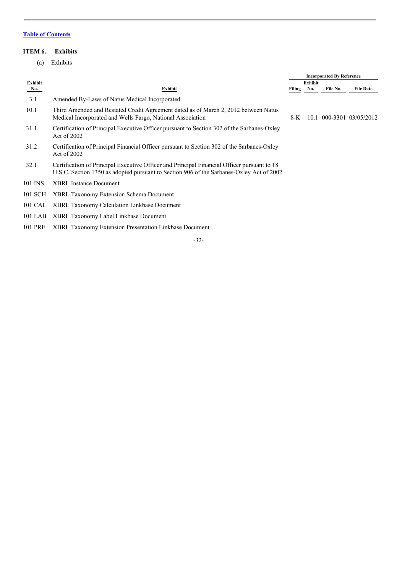# <span id="page-31-0"></span>**ITEM 6. Exhibits**

(a) Exhibits

|                    |                                                                                                                                                                                         | <b>Incorporated By Reference</b> |                |          |                     |
|--------------------|-----------------------------------------------------------------------------------------------------------------------------------------------------------------------------------------|----------------------------------|----------------|----------|---------------------|
| Exhibit<br>$N_0$ . | Exhibit                                                                                                                                                                                 | Filing                           | Exhibit<br>No. | File No. | <b>File Date</b>    |
| 3.1                | Amended By-Laws of Natus Medical Incorporated                                                                                                                                           |                                  |                |          |                     |
| 10.1               | Third Amended and Restated Credit Agreement dated as of March 2, 2012 between Natus<br>Medical Incorporated and Wells Fargo, National Association                                       | 8-K                              | 10.1           |          | 000-3301 03/05/2012 |
| 31.1               | Certification of Principal Executive Officer pursuant to Section 302 of the Sarbanes-Oxley<br>Act of 2002                                                                               |                                  |                |          |                     |
| 31.2               | Certification of Principal Financial Officer pursuant to Section 302 of the Sarbanes-Oxley<br>Act of 2002                                                                               |                                  |                |          |                     |
| 32.1               | Certification of Principal Executive Officer and Principal Financial Officer pursuant to 18<br>U.S.C. Section 1350 as adopted pursuant to Section 906 of the Sarbanes-Oxley Act of 2002 |                                  |                |          |                     |
| 101.INS            | <b>XBRL</b> Instance Document                                                                                                                                                           |                                  |                |          |                     |
| 101.SCH            | <b>XBRL Taxonomy Extension Schema Document</b>                                                                                                                                          |                                  |                |          |                     |
| 101.CAL            | <b>XBRL Taxonomy Calculation Linkbase Document</b>                                                                                                                                      |                                  |                |          |                     |
| 101.LAB            | XBRL Taxonomy Label Linkbase Document                                                                                                                                                   |                                  |                |          |                     |
| 101.PRE            | <b>XBRL Taxonomy Extension Presentation Linkbase Document</b>                                                                                                                           |                                  |                |          |                     |

-32-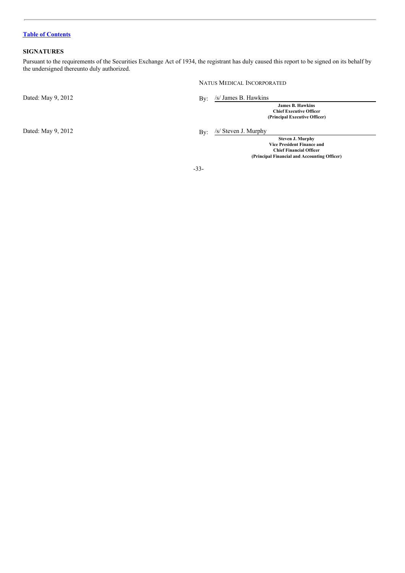# **SIGNATURES**

Pursuant to the requirements of the Securities Exchange Act of 1934, the registrant has duly caused this report to be signed on its behalf by the undersigned thereunto duly authorized.

NATUS MEDICAL INCORPORATED

Dated: May 9, 2012

By: /s/ James B. Hawkins

**James B. Hawkins Chief Executive Officer (Principal Executive Officer)**

Dated: May 9, 2012 By: /s/ Steven J. Murphy

> **Steven J. Murphy Vice President Finance and Chief Financial Officer (Principal Financial and Accounting Officer)**

-33-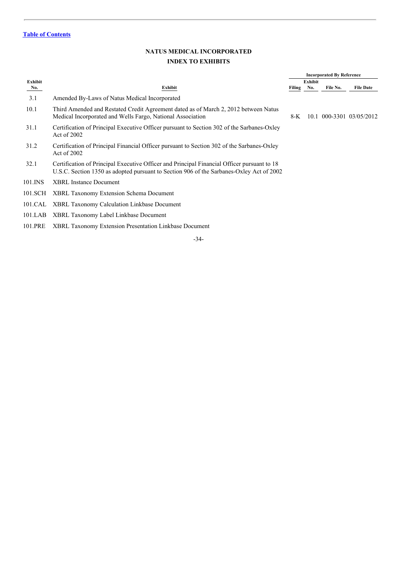# **NATUS MEDICAL INCORPORATED INDEX TO EXHIBITS**

|                |                                                                                                                                                                                         | <b>Incorporated By Reference</b> |      |          |                     |  |
|----------------|-----------------------------------------------------------------------------------------------------------------------------------------------------------------------------------------|----------------------------------|------|----------|---------------------|--|
| <b>Exhibit</b> |                                                                                                                                                                                         | Exhibit                          |      |          |                     |  |
| No.            | Exhibit                                                                                                                                                                                 | Filing                           | No.  | File No. | <b>File Date</b>    |  |
| 3.1            | Amended By-Laws of Natus Medical Incorporated                                                                                                                                           |                                  |      |          |                     |  |
| 10.1           | Third Amended and Restated Credit Agreement dated as of March 2, 2012 between Natus<br>Medical Incorporated and Wells Fargo, National Association                                       | 8-K                              | 10.1 |          | 000-3301 03/05/2012 |  |
| 31.1           | Certification of Principal Executive Officer pursuant to Section 302 of the Sarbanes-Oxley<br>Act of 2002                                                                               |                                  |      |          |                     |  |
| 31.2           | Certification of Principal Financial Officer pursuant to Section 302 of the Sarbanes-Oxley<br>Act of 2002                                                                               |                                  |      |          |                     |  |
| 32.1           | Certification of Principal Executive Officer and Principal Financial Officer pursuant to 18<br>U.S.C. Section 1350 as adopted pursuant to Section 906 of the Sarbanes-Oxley Act of 2002 |                                  |      |          |                     |  |
| 101.INS        | <b>XBRL</b> Instance Document                                                                                                                                                           |                                  |      |          |                     |  |
| 101.SCH        | <b>XBRL Taxonomy Extension Schema Document</b>                                                                                                                                          |                                  |      |          |                     |  |
| 101.CAL        | <b>XBRL Taxonomy Calculation Linkbase Document</b>                                                                                                                                      |                                  |      |          |                     |  |
| 101.LAB        | XBRL Taxonomy Label Linkbase Document                                                                                                                                                   |                                  |      |          |                     |  |
| 101.PRE        | XBRL Taxonomy Extension Presentation Linkbase Document                                                                                                                                  |                                  |      |          |                     |  |

-34-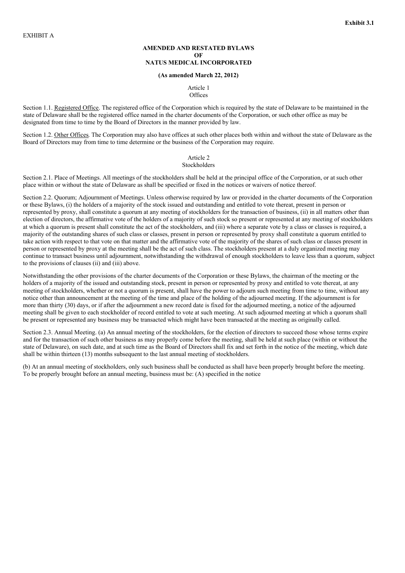# **AMENDED AND RESTATED BYLAWS OF NATUS MEDICAL INCORPORATED**

# **(As amended March 22, 2012)**

#### Article 1 Offices

Section 1.1. Registered Office. The registered office of the Corporation which is required by the state of Delaware to be maintained in the state of Delaware shall be the registered office named in the charter documents of the Corporation, or such other office as may be designated from time to time by the Board of Directors in the manner provided by law.

Section 1.2. Other Offices. The Corporation may also have offices at such other places both within and without the state of Delaware as the Board of Directors may from time to time determine or the business of the Corporation may require.

# Article 2

# Stockholders

Section 2.1. Place of Meetings. All meetings of the stockholders shall be held at the principal office of the Corporation, or at such other place within or without the state of Delaware as shall be specified or fixed in the notices or waivers of notice thereof.

Section 2.2. Quorum; Adjournment of Meetings. Unless otherwise required by law or provided in the charter documents of the Corporation or these Bylaws, (i) the holders of a majority of the stock issued and outstanding and entitled to vote thereat, present in person or represented by proxy, shall constitute a quorum at any meeting of stockholders for the transaction of business, (ii) in all matters other than election of directors, the affirmative vote of the holders of a majority of such stock so present or represented at any meeting of stockholders at which a quorum is present shall constitute the act of the stockholders, and (iii) where a separate vote by a class or classes is required, a majority of the outstanding shares of such class or classes, present in person or represented by proxy shall constitute a quorum entitled to take action with respect to that vote on that matter and the affirmative vote of the majority of the shares of such class or classes present in person or represented by proxy at the meeting shall be the act of such class. The stockholders present at a duly organized meeting may continue to transact business until adjournment, notwithstanding the withdrawal of enough stockholders to leave less than a quorum, subject to the provisions of clauses (ii) and (iii) above.

Notwithstanding the other provisions of the charter documents of the Corporation or these Bylaws, the chairman of the meeting or the holders of a majority of the issued and outstanding stock, present in person or represented by proxy and entitled to vote thereat, at any meeting of stockholders, whether or not a quorum is present, shall have the power to adjourn such meeting from time to time, without any notice other than announcement at the meeting of the time and place of the holding of the adjourned meeting. If the adjournment is for more than thirty (30) days, or if after the adjournment a new record date is fixed for the adjourned meeting, a notice of the adjourned meeting shall be given to each stockholder of record entitled to vote at such meeting. At such adjourned meeting at which a quorum shall be present or represented any business may be transacted which might have been transacted at the meeting as originally called.

Section 2.3. Annual Meeting. (a) An annual meeting of the stockholders, for the election of directors to succeed those whose terms expire and for the transaction of such other business as may properly come before the meeting, shall be held at such place (within or without the state of Delaware), on such date, and at such time as the Board of Directors shall fix and set forth in the notice of the meeting, which date shall be within thirteen (13) months subsequent to the last annual meeting of stockholders.

(b) At an annual meeting of stockholders, only such business shall be conducted as shall have been properly brought before the meeting. To be properly brought before an annual meeting, business must be: (A) specified in the notice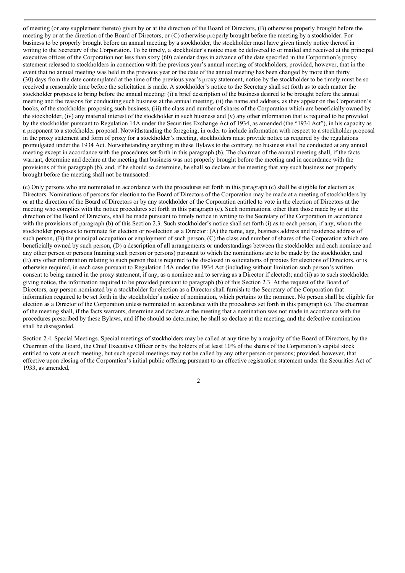of meeting (or any supplement thereto) given by or at the direction of the Board of Directors, (B) otherwise properly brought before the meeting by or at the direction of the Board of Directors, or (C) otherwise properly brought before the meeting by a stockholder. For business to be properly brought before an annual meeting by a stockholder, the stockholder must have given timely notice thereof in writing to the Secretary of the Corporation. To be timely, a stockholder's notice must be delivered to or mailed and received at the principal executive offices of the Corporation not less than sixty (60) calendar days in advance of the date specified in the Corporation's proxy statement released to stockholders in connection with the previous year's annual meeting of stockholders; provided, however, that in the event that no annual meeting was held in the previous year or the date of the annual meeting has been changed by more than thirty (30) days from the date contemplated at the time of the previous year's proxy statement, notice by the stockholder to be timely must be so received a reasonable time before the solicitation is made. A stockholder's notice to the Secretary shall set forth as to each matter the stockholder proposes to bring before the annual meeting: (i) a brief description of the business desired to be brought before the annual meeting and the reasons for conducting such business at the annual meeting, (ii) the name and address, as they appear on the Corporation's books, of the stockholder proposing such business, (iii) the class and number of shares of the Corporation which are beneficially owned by the stockholder, (iv) any material interest of the stockholder in such business and (v) any other information that is required to be provided by the stockholder pursuant to Regulation 14A under the Securities Exchange Act of 1934, as amended (the "1934 Act"), in his capacity as a proponent to a stockholder proposal. Notwithstanding the foregoing, in order to include information with respect to a stockholder proposal in the proxy statement and form of proxy for a stockholder's meeting, stockholders must provide notice as required by the regulations promulgated under the 1934 Act. Notwithstanding anything in these Bylaws to the contrary, no business shall be conducted at any annual meeting except in accordance with the procedures set forth in this paragraph (b). The chairman of the annual meeting shall, if the facts warrant, determine and declare at the meeting that business was not properly brought before the meeting and in accordance with the provisions of this paragraph (b), and, if he should so determine, he shall so declare at the meeting that any such business not properly brought before the meeting shall not be transacted.

(c) Only persons who are nominated in accordance with the procedures set forth in this paragraph (c) shall be eligible for election as Directors. Nominations of persons for election to the Board of Directors of the Corporation may be made at a meeting of stockholders by or at the direction of the Board of Directors or by any stockholder of the Corporation entitled to vote in the election of Directors at the meeting who complies with the notice procedures set forth in this paragraph (c). Such nominations, other than those made by or at the direction of the Board of Directors, shall be made pursuant to timely notice in writing to the Secretary of the Corporation in accordance with the provisions of paragraph (b) of this Section 2.3. Such stockholder's notice shall set forth (i) as to each person, if any, whom the stockholder proposes to nominate for election or re-election as a Director: (A) the name, age, business address and residence address of such person, (B) the principal occupation or employment of such person, (C) the class and number of shares of the Corporation which are beneficially owned by such person, (D) a description of all arrangements or understandings between the stockholder and each nominee and any other person or persons (naming such person or persons) pursuant to which the nominations are to be made by the stockholder, and (E) any other information relating to such person that is required to be disclosed in solicitations of proxies for elections of Directors, or is otherwise required, in each case pursuant to Regulation 14A under the 1934 Act (including without limitation such person's written consent to being named in the proxy statement, if any, as a nominee and to serving as a Director if elected); and (ii) as to such stockholder giving notice, the information required to be provided pursuant to paragraph (b) of this Section 2.3. At the request of the Board of Directors, any person nominated by a stockholder for election as a Director shall furnish to the Secretary of the Corporation that information required to be set forth in the stockholder's notice of nomination, which pertains to the nominee. No person shall be eligible for election as a Director of the Corporation unless nominated in accordance with the procedures set forth in this paragraph (c). The chairman of the meeting shall, if the facts warrants, determine and declare at the meeting that a nomination was not made in accordance with the procedures prescribed by these Bylaws, and if he should so determine, he shall so declare at the meeting, and the defective nomination shall be disregarded.

Section 2.4. Special Meetings. Special meetings of stockholders may be called at any time by a majority of the Board of Directors, by the Chairman of the Board, the Chief Executive Officer or by the holders of at least 10% of the shares of the Corporation's capital stock entitled to vote at such meeting, but such special meetings may not be called by any other person or persons; provided, however, that effective upon closing of the Corporation's initial public offering pursuant to an effective registration statement under the Securities Act of 1933, as amended,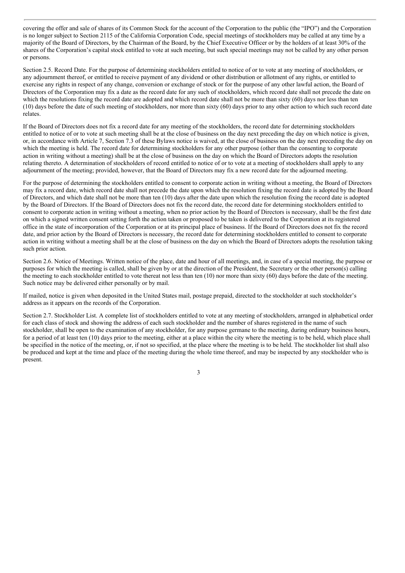covering the offer and sale of shares of its Common Stock for the account of the Corporation to the public (the "IPO") and the Corporation is no longer subject to Section 2115 of the California Corporation Code, special meetings of stockholders may be called at any time by a majority of the Board of Directors, by the Chairman of the Board, by the Chief Executive Officer or by the holders of at least 30% of the shares of the Corporation's capital stock entitled to vote at such meeting, but such special meetings may not be called by any other person or persons.

Section 2.5. Record Date. For the purpose of determining stockholders entitled to notice of or to vote at any meeting of stockholders, or any adjournment thereof, or entitled to receive payment of any dividend or other distribution or allotment of any rights, or entitled to exercise any rights in respect of any change, conversion or exchange of stock or for the purpose of any other lawful action, the Board of Directors of the Corporation may fix a date as the record date for any such of stockholders, which record date shall not precede the date on which the resolutions fixing the record date are adopted and which record date shall not be more than sixty (60) days nor less than ten (10) days before the date of such meeting of stockholders, nor more than sixty (60) days prior to any other action to which such record date relates.

If the Board of Directors does not fix a record date for any meeting of the stockholders, the record date for determining stockholders entitled to notice of or to vote at such meeting shall be at the close of business on the day next preceding the day on which notice is given, or, in accordance with Article 7, Section 7.3 of these Bylaws notice is waived, at the close of business on the day next preceding the day on which the meeting is held. The record date for determining stockholders for any other purpose (other than the consenting to corporate action in writing without a meeting) shall be at the close of business on the day on which the Board of Directors adopts the resolution relating thereto. A determination of stockholders of record entitled to notice of or to vote at a meeting of stockholders shall apply to any adjournment of the meeting; provided, however, that the Board of Directors may fix a new record date for the adjourned meeting.

For the purpose of determining the stockholders entitled to consent to corporate action in writing without a meeting, the Board of Directors may fix a record date, which record date shall not precede the date upon which the resolution fixing the record date is adopted by the Board of Directors, and which date shall not be more than ten (10) days after the date upon which the resolution fixing the record date is adopted by the Board of Directors. If the Board of Directors does not fix the record date, the record date for determining stockholders entitled to consent to corporate action in writing without a meeting, when no prior action by the Board of Directors is necessary, shall be the first date on which a signed written consent setting forth the action taken or proposed to be taken is delivered to the Corporation at its registered office in the state of incorporation of the Corporation or at its principal place of business. If the Board of Directors does not fix the record date, and prior action by the Board of Directors is necessary, the record date for determining stockholders entitled to consent to corporate action in writing without a meeting shall be at the close of business on the day on which the Board of Directors adopts the resolution taking such prior action.

Section 2.6. Notice of Meetings. Written notice of the place, date and hour of all meetings, and, in case of a special meeting, the purpose or purposes for which the meeting is called, shall be given by or at the direction of the President, the Secretary or the other person(s) calling the meeting to each stockholder entitled to vote thereat not less than ten (10) nor more than sixty (60) days before the date of the meeting. Such notice may be delivered either personally or by mail.

If mailed, notice is given when deposited in the United States mail, postage prepaid, directed to the stockholder at such stockholder's address as it appears on the records of the Corporation.

Section 2.7. Stockholder List. A complete list of stockholders entitled to vote at any meeting of stockholders, arranged in alphabetical order for each class of stock and showing the address of each such stockholder and the number of shares registered in the name of such stockholder, shall be open to the examination of any stockholder, for any purpose germane to the meeting, during ordinary business hours, for a period of at least ten (10) days prior to the meeting, either at a place within the city where the meeting is to be held, which place shall be specified in the notice of the meeting, or, if not so specified, at the place where the meeting is to be held. The stockholder list shall also be produced and kept at the time and place of the meeting during the whole time thereof, and may be inspected by any stockholder who is present.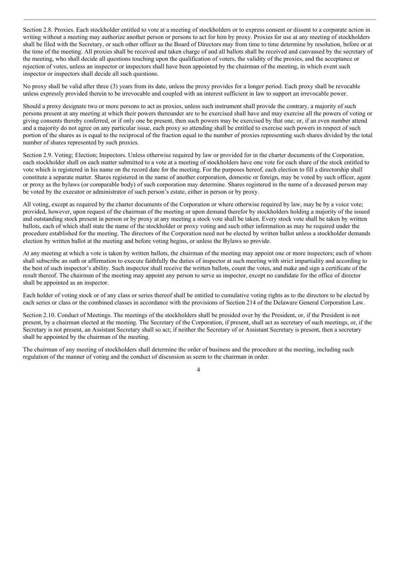Section 2.8. Proxies. Each stockholder entitled to vote at a meeting of stockholders or to express consent or dissent to a corporate action in writing without a meeting may authorize another person or persons to act for him by proxy. Proxies for use at any meeting of stockholders shall be filed with the Secretary, or such other officer as the Board of Directors may from time to time determine by resolution, before or at the time of the meeting. All proxies shall be received and taken charge of and all ballots shall be received and canvassed by the secretary of the meeting, who shall decide all questions touching upon the qualification of voters, the validity of the proxies, and the acceptance or rejection of votes, unless an inspector or inspectors shall have been appointed by the chairman of the meeting, in which event such inspector or inspectors shall decide all such questions.

No proxy shall be valid after three (3) years from its date, unless the proxy provides for a longer period. Each proxy shall be revocable unless expressly provided therein to be irrevocable and coupled with an interest sufficient in law to support an irrevocable power.

Should a proxy designate two or more persons to act as proxies, unless such instrument shall provide the contrary, a majority of such persons present at any meeting at which their powers thereunder are to be exercised shall have and may exercise all the powers of voting or giving consents thereby conferred, or if only one be present, then such powers may be exercised by that one; or, if an even number attend and a majority do not agree on any particular issue, each proxy so attending shall be entitled to exercise such powers in respect of such portion of the shares as is equal to the reciprocal of the fraction equal to the number of proxies representing such shares divided by the total number of shares represented by such proxies.

Section 2.9. Voting; Election; Inspectors. Unless otherwise required by law or provided for in the charter documents of the Corporation, each stockholder shall on each matter submitted to a vote at a meeting of stockholders have one vote for each share of the stock entitled to vote which is registered in his name on the record date for the meeting. For the purposes hereof, each election to fill a directorship shall constitute a separate matter. Shares registered in the name of another corporation, domestic or foreign, may be voted by such officer, agent or proxy as the bylaws (or comparable body) of such corporation may determine. Shares registered in the name of a deceased person may be voted by the executor or administrator of such person's estate, either in person or by proxy.

All voting, except as required by the charter documents of the Corporation or where otherwise required by law, may be by a voice vote; provided, however, upon request of the chairman of the meeting or upon demand therefor by stockholders holding a majority of the issued and outstanding stock present in person or by proxy at any meeting a stock vote shall be taken. Every stock vote shall be taken by written ballots, each of which shall state the name of the stockholder or proxy voting and such other information as may be required under the procedure established for the meeting. The directors of the Corporation need not be elected by written ballot unless a stockholder demands election by written ballot at the meeting and before voting begins, or unless the Bylaws so provide.

At any meeting at which a vote is taken by written ballots, the chairman of the meeting may appoint one or more inspectors; each of whom shall subscribe an oath or affirmation to execute faithfully the duties of inspector at such meeting with strict impartiality and according to the best of such inspector's ability. Such inspector shall receive the written ballots, count the votes, and make and sign a certificate of the result thereof. The chairman of the meeting may appoint any person to serve as inspector, except no candidate for the office of director shall be appointed as an inspector.

Each holder of voting stock or of any class or series thereof shall be entitled to cumulative voting rights as to the directors to be elected by each series or class or the combined classes in accordance with the provisions of Section 214 of the Delaware General Corporation Law.

Section 2.10. Conduct of Meetings. The meetings of the stockholders shall be presided over by the President, or, if the President is not present, by a chairman elected at the meeting. The Secretary of the Corporation, if present, shall act as secretary of such meetings, or, if the Secretary is not present, an Assistant Secretary shall so act; if neither the Secretary of or Assistant Secretary is present, then a secretary shall be appointed by the chairman of the meeting.

The chairman of any meeting of stockholders shall determine the order of business and the procedure at the meeting, including such regulation of the manner of voting and the conduct of discussion as seem to the chairman in order.

 $\Delta$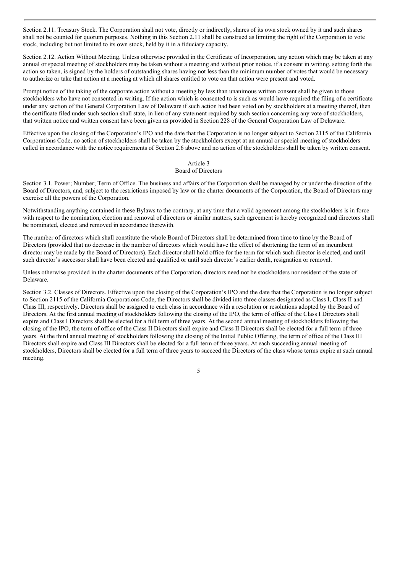Section 2.11. Treasury Stock. The Corporation shall not vote, directly or indirectly, shares of its own stock owned by it and such shares shall not be counted for quorum purposes. Nothing in this Section 2.11 shall be construed as limiting the right of the Corporation to vote stock, including but not limited to its own stock, held by it in a fiduciary capacity.

Section 2.12. Action Without Meeting. Unless otherwise provided in the Certificate of Incorporation, any action which may be taken at any annual or special meeting of stockholders may be taken without a meeting and without prior notice, if a consent in writing, setting forth the action so taken, is signed by the holders of outstanding shares having not less than the minimum number of votes that would be necessary to authorize or take that action at a meeting at which all shares entitled to vote on that action were present and voted.

Prompt notice of the taking of the corporate action without a meeting by less than unanimous written consent shall be given to those stockholders who have not consented in writing. If the action which is consented to is such as would have required the filing of a certificate under any section of the General Corporation Law of Delaware if such action had been voted on by stockholders at a meeting thereof, then the certificate filed under such section shall state, in lieu of any statement required by such section concerning any vote of stockholders, that written notice and written consent have been given as provided in Section 228 of the General Corporation Law of Delaware.

Effective upon the closing of the Corporation's IPO and the date that the Corporation is no longer subject to Section 2115 of the California Corporations Code, no action of stockholders shall be taken by the stockholders except at an annual or special meeting of stockholders called in accordance with the notice requirements of Section 2.6 above and no action of the stockholders shall be taken by written consent.

#### Article 3 Board of Directors

Section 3.1. Power; Number; Term of Office. The business and affairs of the Corporation shall be managed by or under the direction of the Board of Directors, and, subject to the restrictions imposed by law or the charter documents of the Corporation, the Board of Directors may exercise all the powers of the Corporation.

Notwithstanding anything contained in these Bylaws to the contrary, at any time that a valid agreement among the stockholders is in force with respect to the nomination, election and removal of directors or similar matters, such agreement is hereby recognized and directors shall be nominated, elected and removed in accordance therewith.

The number of directors which shall constitute the whole Board of Directors shall be determined from time to time by the Board of Directors (provided that no decrease in the number of directors which would have the effect of shortening the term of an incumbent director may be made by the Board of Directors). Each director shall hold office for the term for which such director is elected, and until such director's successor shall have been elected and qualified or until such director's earlier death, resignation or removal.

Unless otherwise provided in the charter documents of the Corporation, directors need not be stockholders nor resident of the state of Delaware.

Section 3.2. Classes of Directors. Effective upon the closing of the Corporation's IPO and the date that the Corporation is no longer subject to Section 2115 of the California Corporations Code, the Directors shall be divided into three classes designated as Class I, Class II and Class III, respectively. Directors shall be assigned to each class in accordance with a resolution or resolutions adopted by the Board of Directors. At the first annual meeting of stockholders following the closing of the IPO, the term of office of the Class I Directors shall expire and Class I Directors shall be elected for a full term of three years. At the second annual meeting of stockholders following the closing of the IPO, the term of office of the Class II Directors shall expire and Class II Directors shall be elected for a full term of three years. At the third annual meeting of stockholders following the closing of the Initial Public Offering, the term of office of the Class III Directors shall expire and Class III Directors shall be elected for a full term of three years. At each succeeding annual meeting of stockholders, Directors shall be elected for a full term of three years to succeed the Directors of the class whose terms expire at such annual meeting.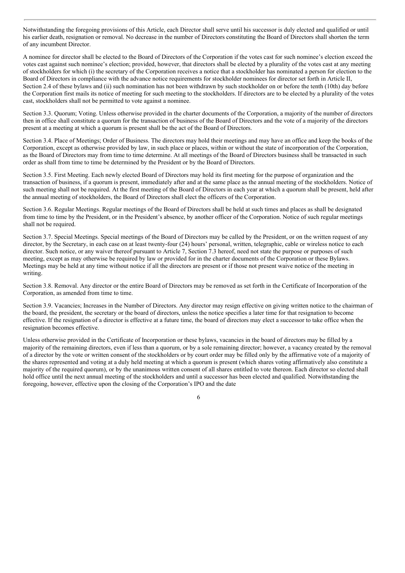Notwithstanding the foregoing provisions of this Article, each Director shall serve until his successor is duly elected and qualified or until his earlier death, resignation or removal. No decrease in the number of Directors constituting the Board of Directors shall shorten the term of any incumbent Director.

A nominee for director shall be elected to the Board of Directors of the Corporation if the votes cast for such nominee's election exceed the votes cast against such nominee's election; provided, however, that directors shall be elected by a plurality of the votes cast at any meeting of stockholders for which (i) the secretary of the Corporation receives a notice that a stockholder has nominated a person for election to the Board of Directors in compliance with the advance notice requirements for stockholder nominees for director set forth in Article II, Section 2.4 of these bylaws and (ii) such nomination has not been withdrawn by such stockholder on or before the tenth (10th) day before the Corporation first mails its notice of meeting for such meeting to the stockholders. If directors are to be elected by a plurality of the votes cast, stockholders shall not be permitted to vote against a nominee.

Section 3.3. Quorum; Voting. Unless otherwise provided in the charter documents of the Corporation, a majority of the number of directors then in office shall constitute a quorum for the transaction of business of the Board of Directors and the vote of a majority of the directors present at a meeting at which a quorum is present shall be the act of the Board of Directors.

Section 3.4. Place of Meetings; Order of Business. The directors may hold their meetings and may have an office and keep the books of the Corporation, except as otherwise provided by law, in such place or places, within or without the state of incorporation of the Corporation, as the Board of Directors may from time to time determine. At all meetings of the Board of Directors business shall be transacted in such order as shall from time to time be determined by the President or by the Board of Directors.

Section 3.5. First Meeting. Each newly elected Board of Directors may hold its first meeting for the purpose of organization and the transaction of business, if a quorum is present, immediately after and at the same place as the annual meeting of the stockholders. Notice of such meeting shall not be required. At the first meeting of the Board of Directors in each year at which a quorum shall be present, held after the annual meeting of stockholders, the Board of Directors shall elect the officers of the Corporation.

Section 3.6. Regular Meetings. Regular meetings of the Board of Directors shall be held at such times and places as shall be designated from time to time by the President, or in the President's absence, by another officer of the Corporation. Notice of such regular meetings shall not be required.

Section 3.7. Special Meetings. Special meetings of the Board of Directors may be called by the President, or on the written request of any director, by the Secretary, in each case on at least twenty-four (24) hours' personal, written, telegraphic, cable or wireless notice to each director. Such notice, or any waiver thereof pursuant to Article 7, Section 7.3 hereof, need not state the purpose or purposes of such meeting, except as may otherwise be required by law or provided for in the charter documents of the Corporation or these Bylaws. Meetings may be held at any time without notice if all the directors are present or if those not present waive notice of the meeting in writing.

Section 3.8. Removal. Any director or the entire Board of Directors may be removed as set forth in the Certificate of Incorporation of the Corporation, as amended from time to time.

Section 3.9. Vacancies; Increases in the Number of Directors. Any director may resign effective on giving written notice to the chairman of the board, the president, the secretary or the board of directors, unless the notice specifies a later time for that resignation to become effective. If the resignation of a director is effective at a future time, the board of directors may elect a successor to take office when the resignation becomes effective.

Unless otherwise provided in the Certificate of Incorporation or these bylaws, vacancies in the board of directors may be filled by a majority of the remaining directors, even if less than a quorum, or by a sole remaining director; however, a vacancy created by the removal of a director by the vote or written consent of the stockholders or by court order may be filled only by the affirmative vote of a majority of the shares represented and voting at a duly held meeting at which a quorum is present (which shares voting affirmatively also constitute a majority of the required quorum), or by the unanimous written consent of all shares entitled to vote thereon. Each director so elected shall hold office until the next annual meeting of the stockholders and until a successor has been elected and qualified. Notwithstanding the foregoing, however, effective upon the closing of the Corporation's IPO and the date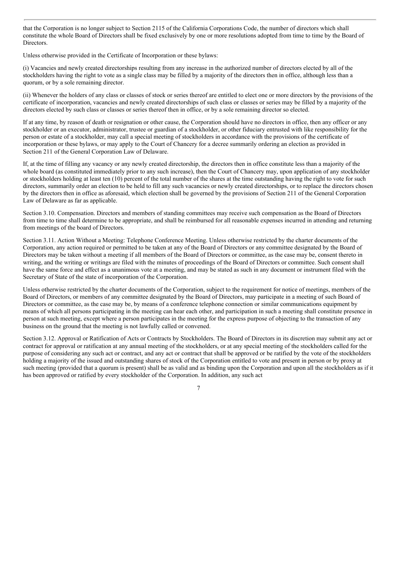that the Corporation is no longer subject to Section 2115 of the California Corporations Code, the number of directors which shall constitute the whole Board of Directors shall be fixed exclusively by one or more resolutions adopted from time to time by the Board of Directors.

Unless otherwise provided in the Certificate of Incorporation or these bylaws:

(i) Vacancies and newly created directorships resulting from any increase in the authorized number of directors elected by all of the stockholders having the right to vote as a single class may be filled by a majority of the directors then in office, although less than a quorum, or by a sole remaining director.

(ii) Whenever the holders of any class or classes of stock or series thereof are entitled to elect one or more directors by the provisions of the certificate of incorporation, vacancies and newly created directorships of such class or classes or series may be filled by a majority of the directors elected by such class or classes or series thereof then in office, or by a sole remaining director so elected.

If at any time, by reason of death or resignation or other cause, the Corporation should have no directors in office, then any officer or any stockholder or an executor, administrator, trustee or guardian of a stockholder, or other fiduciary entrusted with like responsibility for the person or estate of a stockholder, may call a special meeting of stockholders in accordance with the provisions of the certificate of incorporation or these bylaws, or may apply to the Court of Chancery for a decree summarily ordering an election as provided in Section 211 of the General Corporation Law of Delaware.

If, at the time of filling any vacancy or any newly created directorship, the directors then in office constitute less than a majority of the whole board (as constituted immediately prior to any such increase), then the Court of Chancery may, upon application of any stockholder or stockholders holding at least ten (10) percent of the total number of the shares at the time outstanding having the right to vote for such directors, summarily order an election to be held to fill any such vacancies or newly created directorships, or to replace the directors chosen by the directors then in office as aforesaid, which election shall be governed by the provisions of Section 211 of the General Corporation Law of Delaware as far as applicable.

Section 3.10. Compensation. Directors and members of standing committees may receive such compensation as the Board of Directors from time to time shall determine to be appropriate, and shall be reimbursed for all reasonable expenses incurred in attending and returning from meetings of the board of Directors.

Section 3.11. Action Without a Meeting: Telephone Conference Meeting. Unless otherwise restricted by the charter documents of the Corporation, any action required or permitted to be taken at any of the Board of Directors or any committee designated by the Board of Directors may be taken without a meeting if all members of the Board of Directors or committee, as the case may be, consent thereto in writing, and the writing or writings are filed with the minutes of proceedings of the Board of Directors or committee. Such consent shall have the same force and effect as a unanimous vote at a meeting, and may be stated as such in any document or instrument filed with the Secretary of State of the state of incorporation of the Corporation.

Unless otherwise restricted by the charter documents of the Corporation, subject to the requirement for notice of meetings, members of the Board of Directors, or members of any committee designated by the Board of Directors, may participate in a meeting of such Board of Directors or committee, as the case may be, by means of a conference telephone connection or similar communications equipment by means of which all persons participating in the meeting can hear each other, and participation in such a meeting shall constitute presence in person at such meeting, except where a person participates in the meeting for the express purpose of objecting to the transaction of any business on the ground that the meeting is not lawfully called or convened.

Section 3.12. Approval or Ratification of Acts or Contracts by Stockholders. The Board of Directors in its discretion may submit any act or contract for approval or ratification at any annual meeting of the stockholders, or at any special meeting of the stockholders called for the purpose of considering any such act or contract, and any act or contract that shall be approved or be ratified by the vote of the stockholders holding a majority of the issued and outstanding shares of stock of the Corporation entitled to vote and present in person or by proxy at such meeting (provided that a quorum is present) shall be as valid and as binding upon the Corporation and upon all the stockholders as if it has been approved or ratified by every stockholder of the Corporation. In addition, any such act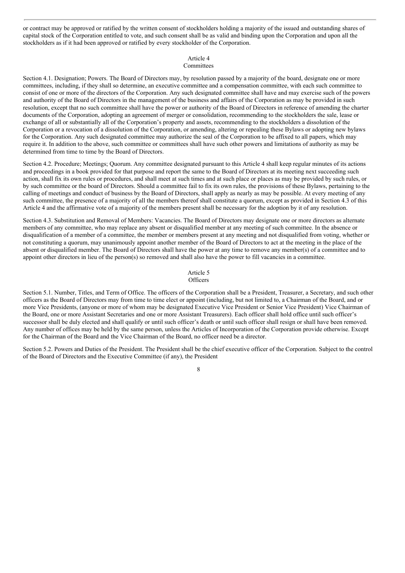or contract may be approved or ratified by the written consent of stockholders holding a majority of the issued and outstanding shares of capital stock of the Corporation entitled to vote, and such consent shall be as valid and binding upon the Corporation and upon all the stockholders as if it had been approved or ratified by every stockholder of the Corporation.

#### Article 4 **Committees**

Section 4.1. Designation; Powers. The Board of Directors may, by resolution passed by a majority of the board, designate one or more committees, including, if they shall so determine, an executive committee and a compensation committee, with each such committee to consist of one or more of the directors of the Corporation. Any such designated committee shall have and may exercise such of the powers and authority of the Board of Directors in the management of the business and affairs of the Corporation as may be provided in such resolution, except that no such committee shall have the power or authority of the Board of Directors in reference of amending the charter documents of the Corporation, adopting an agreement of merger or consolidation, recommending to the stockholders the sale, lease or exchange of all or substantially all of the Corporation's property and assets, recommending to the stockholders a dissolution of the Corporation or a revocation of a dissolution of the Corporation, or amending, altering or repealing these Bylaws or adopting new bylaws for the Corporation. Any such designated committee may authorize the seal of the Corporation to be affixed to all papers, which may require it. In addition to the above, such committee or committees shall have such other powers and limitations of authority as may be determined from time to time by the Board of Directors.

Section 4.2. Procedure; Meetings; Quorum. Any committee designated pursuant to this Article 4 shall keep regular minutes of its actions and proceedings in a book provided for that purpose and report the same to the Board of Directors at its meeting next succeeding such action, shall fix its own rules or procedures, and shall meet at such times and at such place or places as may be provided by such rules, or by such committee or the board of Directors. Should a committee fail to fix its own rules, the provisions of these Bylaws, pertaining to the calling of meetings and conduct of business by the Board of Directors, shall apply as nearly as may be possible. At every meeting of any such committee, the presence of a majority of all the members thereof shall constitute a quorum, except as provided in Section 4.3 of this Article 4 and the affirmative vote of a majority of the members present shall be necessary for the adoption by it of any resolution.

Section 4.3. Substitution and Removal of Members: Vacancies. The Board of Directors may designate one or more directors as alternate members of any committee, who may replace any absent or disqualified member at any meeting of such committee. In the absence or disqualification of a member of a committee, the member or members present at any meeting and not disqualified from voting, whether or not constituting a quorum, may unanimously appoint another member of the Board of Directors to act at the meeting in the place of the absent or disqualified member. The Board of Directors shall have the power at any time to remove any member(s) of a committee and to appoint other directors in lieu of the person(s) so removed and shall also have the power to fill vacancies in a committee.

#### Article 5 **Officers**

Section 5.1. Number, Titles, and Term of Office. The officers of the Corporation shall be a President, Treasurer, a Secretary, and such other officers as the Board of Directors may from time to time elect or appoint (including, but not limited to, a Chairman of the Board, and or more Vice Presidents, (anyone or more of whom may be designated Executive Vice President or Senior Vice President) Vice Chairman of the Board, one or more Assistant Secretaries and one or more Assistant Treasurers). Each officer shall hold office until such officer's successor shall be duly elected and shall qualify or until such officer's death or until such officer shall resign or shall have been removed. Any number of offices may be held by the same person, unless the Articles of Incorporation of the Corporation provide otherwise. Except for the Chairman of the Board and the Vice Chairman of the Board, no officer need be a director.

Section 5.2. Powers and Duties of the President. The President shall be the chief executive officer of the Corporation. Subject to the control of the Board of Directors and the Executive Committee (if any), the President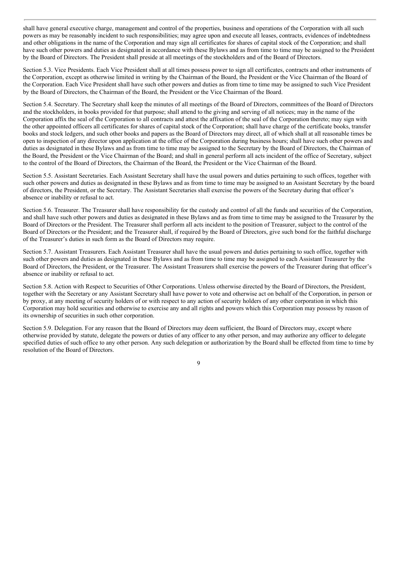shall have general executive charge, management and control of the properties, business and operations of the Corporation with all such powers as may be reasonably incident to such responsibilities; may agree upon and execute all leases, contracts, evidences of indebtedness and other obligations in the name of the Corporation and may sign all certificates for shares of capital stock of the Corporation; and shall have such other powers and duties as designated in accordance with these Bylaws and as from time to time may be assigned to the President by the Board of Directors. The President shall preside at all meetings of the stockholders and of the Board of Directors.

Section 5.3. Vice Presidents. Each Vice President shall at all times possess power to sign all certificates, contracts and other instruments of the Corporation, except as otherwise limited in writing by the Chairman of the Board, the President or the Vice Chairman of the Board of the Corporation. Each Vice President shall have such other powers and duties as from time to time may be assigned to such Vice President by the Board of Directors, the Chairman of the Board, the President or the Vice Chairman of the Board.

Section 5.4. Secretary. The Secretary shall keep the minutes of all meetings of the Board of Directors, committees of the Board of Directors and the stockholders, in books provided for that purpose; shall attend to the giving and serving of all notices; may in the name of the Corporation affix the seal of the Corporation to all contracts and attest the affixation of the seal of the Corporation thereto; may sign with the other appointed officers all certificates for shares of capital stock of the Corporation; shall have charge of the certificate books, transfer books and stock ledgers, and such other books and papers as the Board of Directors may direct, all of which shall at all reasonable times be open to inspection of any director upon application at the office of the Corporation during business hours; shall have such other powers and duties as designated in these Bylaws and as from time to time may be assigned to the Secretary by the Board of Directors, the Chairman of the Board, the President or the Vice Chairman of the Board; and shall in general perform all acts incident of the office of Secretary, subject to the control of the Board of Directors, the Chairman of the Board, the President or the Vice Chairman of the Board.

Section 5.5. Assistant Secretaries. Each Assistant Secretary shall have the usual powers and duties pertaining to such offices, together with such other powers and duties as designated in these Bylaws and as from time to time may be assigned to an Assistant Secretary by the board of directors, the President, or the Secretary. The Assistant Secretaries shall exercise the powers of the Secretary during that officer's absence or inability or refusal to act.

Section 5.6. Treasurer. The Treasurer shall have responsibility for the custody and control of all the funds and securities of the Corporation, and shall have such other powers and duties as designated in these Bylaws and as from time to time may be assigned to the Treasurer by the Board of Directors or the President. The Treasurer shall perform all acts incident to the position of Treasurer, subject to the control of the Board of Directors or the President; and the Treasurer shall, if required by the Board of Directors, give such bond for the faithful discharge of the Treasurer's duties in such form as the Board of Directors may require.

Section 5.7. Assistant Treasurers. Each Assistant Treasurer shall have the usual powers and duties pertaining to such office, together with such other powers and duties as designated in these Bylaws and as from time to time may be assigned to each Assistant Treasurer by the Board of Directors, the President, or the Treasurer. The Assistant Treasurers shall exercise the powers of the Treasurer during that officer's absence or inability or refusal to act.

Section 5.8. Action with Respect to Securities of Other Corporations. Unless otherwise directed by the Board of Directors, the President, together with the Secretary or any Assistant Secretary shall have power to vote and otherwise act on behalf of the Corporation, in person or by proxy, at any meeting of security holders of or with respect to any action of security holders of any other corporation in which this Corporation may hold securities and otherwise to exercise any and all rights and powers which this Corporation may possess by reason of its ownership of securities in such other corporation.

Section 5.9. Delegation. For any reason that the Board of Directors may deem sufficient, the Board of Directors may, except where otherwise provided by statute, delegate the powers or duties of any officer to any other person, and may authorize any officer to delegate specified duties of such office to any other person. Any such delegation or authorization by the Board shall be effected from time to time by resolution of the Board of Directors.

 $\overline{Q}$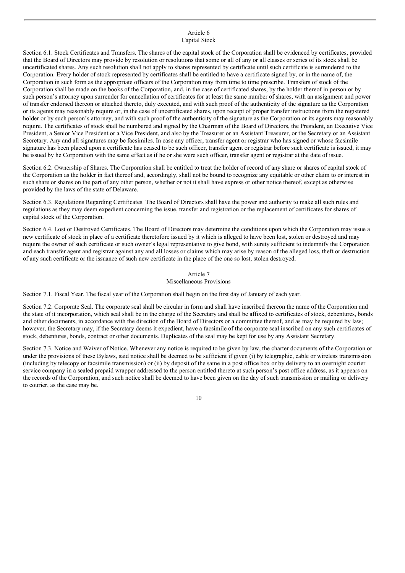# Article 6 Capital Stock

Section 6.1. Stock Certificates and Transfers. The shares of the capital stock of the Corporation shall be evidenced by certificates, provided that the Board of Directors may provide by resolution or resolutions that some or all of any or all classes or series of its stock shall be uncertificated shares. Any such resolution shall not apply to shares represented by certificate until such certificate is surrendered to the Corporation. Every holder of stock represented by certificates shall be entitled to have a certificate signed by, or in the name of, the Corporation in such form as the appropriate officers of the Corporation may from time to time prescribe. Transfers of stock of the Corporation shall be made on the books of the Corporation, and, in the case of certificated shares, by the holder thereof in person or by such person's attorney upon surrender for cancellation of certificates for at least the same number of shares, with an assignment and power of transfer endorsed thereon or attached thereto, duly executed, and with such proof of the authenticity of the signature as the Corporation or its agents may reasonably require or, in the case of uncertificated shares, upon receipt of proper transfer instructions from the registered holder or by such person's attorney, and with such proof of the authenticity of the signature as the Corporation or its agents may reasonably require. The certificates of stock shall be numbered and signed by the Chairman of the Board of Directors, the President, an Executive Vice President, a Senior Vice President or a Vice President, and also by the Treasurer or an Assistant Treasurer, or the Secretary or an Assistant Secretary. Any and all signatures may be facsimiles. In case any officer, transfer agent or registrar who has signed or whose facsimile signature has been placed upon a certificate has ceased to be such officer, transfer agent or registrar before such certificate is issued, it may be issued by he Corporation with the same effect as if he or she were such officer, transfer agent or registrar at the date of issue.

Section 6.2. Ownership of Shares. The Corporation shall be entitled to treat the holder of record of any share or shares of capital stock of the Corporation as the holder in fact thereof and, accordingly, shall not be bound to recognize any equitable or other claim to or interest in such share or shares on the part of any other person, whether or not it shall have express or other notice thereof, except as otherwise provided by the laws of the state of Delaware.

Section 6.3. Regulations Regarding Certificates. The Board of Directors shall have the power and authority to make all such rules and regulations as they may deem expedient concerning the issue, transfer and registration or the replacement of certificates for shares of capital stock of the Corporation.

Section 6.4. Lost or Destroyed Certificates. The Board of Directors may determine the conditions upon which the Corporation may issue a new certificate of stock in place of a certificate theretofore issued by it which is alleged to have been lost, stolen or destroyed and may require the owner of such certificate or such owner's legal representative to give bond, with surety sufficient to indemnify the Corporation and each transfer agent and registrar against any and all losses or claims which may arise by reason of the alleged loss, theft or destruction of any such certificate or the issuance of such new certificate in the place of the one so lost, stolen destroyed.

# Article 7

# Miscellaneous Provisions

Section 7.1. Fiscal Year. The fiscal year of the Corporation shall begin on the first day of January of each year.

Section 7.2. Corporate Seal. The corporate seal shall be circular in form and shall have inscribed thereon the name of the Corporation and the state of it incorporation, which seal shall be in the charge of the Secretary and shall be affixed to certificates of stock, debentures, bonds and other documents, in accordance with the direction of the Board of Directors or a committee thereof, and as may be required by law; however, the Secretary may, if the Secretary deems it expedient, have a facsimile of the corporate seal inscribed on any such certificates of stock, debentures, bonds, contract or other documents. Duplicates of the seal may be kept for use by any Assistant Secretary.

Section 7.3. Notice and Waiver of Notice. Whenever any notice is required to be given by law, the charter documents of the Corporation or under the provisions of these Bylaws, said notice shall be deemed to be sufficient if given (i) by telegraphic, cable or wireless transmission (including by telecopy or facsimile transmission) or (ii) by deposit of the same in a post office box or by delivery to an overnight courier service company in a sealed prepaid wrapper addressed to the person entitled thereto at such person's post office address, as it appears on the records of the Corporation, and such notice shall be deemed to have been given on the day of such transmission or mailing or delivery to courier, as the case may be.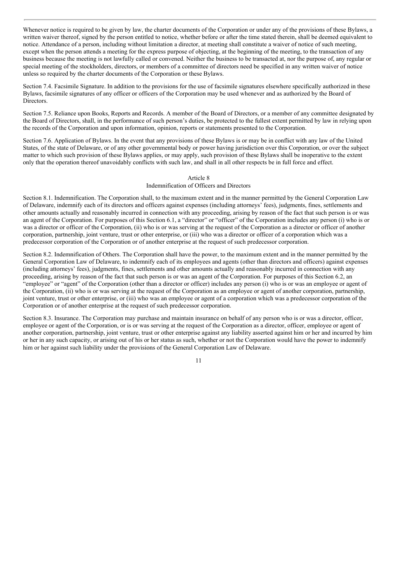Whenever notice is required to be given by law, the charter documents of the Corporation or under any of the provisions of these Bylaws, a written waiver thereof, signed by the person entitled to notice, whether before or after the time stated therein, shall be deemed equivalent to notice. Attendance of a person, including without limitation a director, at meeting shall constitute a waiver of notice of such meeting, except when the person attends a meeting for the express purpose of objecting, at the beginning of the meeting, to the transaction of any business because the meeting is not lawfully called or convened. Neither the business to be transacted at, nor the purpose of, any regular or special meeting of the stockholders, directors, or members of a committee of directors need be specified in any written waiver of notice unless so required by the charter documents of the Corporation or these Bylaws.

Section 7.4. Facsimile Signature. In addition to the provisions for the use of facsimile signatures elsewhere specifically authorized in these Bylaws, facsimile signatures of any officer or officers of the Corporation may be used whenever and as authorized by the Board of Directors.

Section 7.5. Reliance upon Books, Reports and Records. A member of the Board of Directors, or a member of any committee designated by the Board of Directors, shall, in the performance of such person's duties, be protected to the fullest extent permitted by law in relying upon the records of the Corporation and upon information, opinion, reports or statements presented to the Corporation.

Section 7.6. Application of Bylaws. In the event that any provisions of these Bylaws is or may be in conflict with any law of the United States, of the state of Delaware, or of any other governmental body or power having jurisdiction over this Corporation, or over the subject matter to which such provision of these Bylaws applies, or may apply, such provision of these Bylaws shall be inoperative to the extent only that the operation thereof unavoidably conflicts with such law, and shall in all other respects be in full force and effect.

#### Article 8

### Indemnification of Officers and Directors

Section 8.1. Indemnification. The Corporation shall, to the maximum extent and in the manner permitted by the General Corporation Law of Delaware, indemnify each of its directors and officers against expenses (including attorneys' fees), judgments, fines, settlements and other amounts actually and reasonably incurred in connection with any proceeding, arising by reason of the fact that such person is or was an agent of the Corporation. For purposes of this Section 6.1, a "director" or "officer" of the Corporation includes any person (i) who is or was a director or officer of the Corporation, (ii) who is or was serving at the request of the Corporation as a director or officer of another corporation, partnership, joint venture, trust or other enterprise, or (iii) who was a director or officer of a corporation which was a predecessor corporation of the Corporation or of another enterprise at the request of such predecessor corporation.

Section 8.2. Indemnification of Others. The Corporation shall have the power, to the maximum extent and in the manner permitted by the General Corporation Law of Delaware, to indemnify each of its employees and agents (other than directors and officers) against expenses (including attorneys' fees), judgments, fines, settlements and other amounts actually and reasonably incurred in connection with any proceeding, arising by reason of the fact that such person is or was an agent of the Corporation. For purposes of this Section 6.2, an "employee" or "agent" of the Corporation (other than a director or officer) includes any person (i) who is or was an employee or agent of the Corporation, (ii) who is or was serving at the request of the Corporation as an employee or agent of another corporation, partnership, joint venture, trust or other enterprise, or (iii) who was an employee or agent of a corporation which was a predecessor corporation of the Corporation or of another enterprise at the request of such predecessor corporation.

Section 8.3. Insurance. The Corporation may purchase and maintain insurance on behalf of any person who is or was a director, officer, employee or agent of the Corporation, or is or was serving at the request of the Corporation as a director, officer, employee or agent of another corporation, partnership, joint venture, trust or other enterprise against any liability asserted against him or her and incurred by him or her in any such capacity, or arising out of his or her status as such, whether or not the Corporation would have the power to indemnify him or her against such liability under the provisions of the General Corporation Law of Delaware.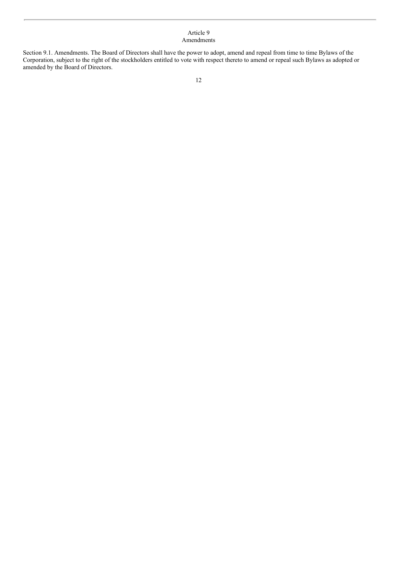# Article 9 Amendments

Section 9.1. Amendments. The Board of Directors shall have the power to adopt, amend and repeal from time to time Bylaws of the Corporation, subject to the right of the stockholders entitled to vote with respect thereto to amend or repeal such Bylaws as adopted or amended by the Board of Directors.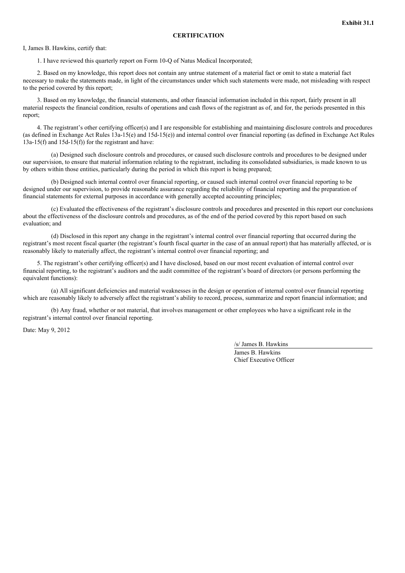# **CERTIFICATION**

# I, James B. Hawkins, certify that:

1. I have reviewed this quarterly report on Form 10-Q of Natus Medical Incorporated;

2. Based on my knowledge, this report does not contain any untrue statement of a material fact or omit to state a material fact necessary to make the statements made, in light of the circumstances under which such statements were made, not misleading with respect to the period covered by this report;

3. Based on my knowledge, the financial statements, and other financial information included in this report, fairly present in all material respects the financial condition, results of operations and cash flows of the registrant as of, and for, the periods presented in this report;

4. The registrant's other certifying officer(s) and I are responsible for establishing and maintaining disclosure controls and procedures (as defined in Exchange Act Rules 13a-15(e) and 15d-15(e)) and internal control over financial reporting (as defined in Exchange Act Rules 13a-15(f) and 15d-15(f)) for the registrant and have:

(a) Designed such disclosure controls and procedures, or caused such disclosure controls and procedures to be designed under our supervision, to ensure that material information relating to the registrant, including its consolidated subsidiaries, is made known to us by others within those entities, particularly during the period in which this report is being prepared;

(b) Designed such internal control over financial reporting, or caused such internal control over financial reporting to be designed under our supervision, to provide reasonable assurance regarding the reliability of financial reporting and the preparation of financial statements for external purposes in accordance with generally accepted accounting principles;

(c) Evaluated the effectiveness of the registrant's disclosure controls and procedures and presented in this report our conclusions about the effectiveness of the disclosure controls and procedures, as of the end of the period covered by this report based on such evaluation; and

(d) Disclosed in this report any change in the registrant's internal control over financial reporting that occurred during the registrant's most recent fiscal quarter (the registrant's fourth fiscal quarter in the case of an annual report) that has materially affected, or is reasonably likely to materially affect, the registrant's internal control over financial reporting; and

5. The registrant's other certifying officer(s) and I have disclosed, based on our most recent evaluation of internal control over financial reporting, to the registrant's auditors and the audit committee of the registrant's board of directors (or persons performing the equivalent functions):

(a) All significant deficiencies and material weaknesses in the design or operation of internal control over financial reporting which are reasonably likely to adversely affect the registrant's ability to record, process, summarize and report financial information; and

(b) Any fraud, whether or not material, that involves management or other employees who have a significant role in the registrant's internal control over financial reporting.

Date: May 9, 2012

/s/ James B. Hawkins James B. Hawkins

Chief Executive Officer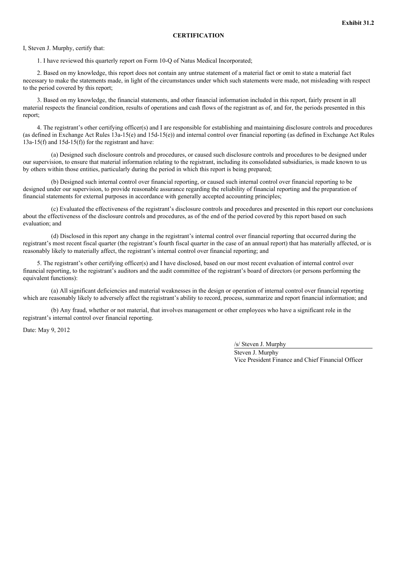# **CERTIFICATION**

# I, Steven J. Murphy, certify that:

1. I have reviewed this quarterly report on Form 10-Q of Natus Medical Incorporated;

2. Based on my knowledge, this report does not contain any untrue statement of a material fact or omit to state a material fact necessary to make the statements made, in light of the circumstances under which such statements were made, not misleading with respect to the period covered by this report;

3. Based on my knowledge, the financial statements, and other financial information included in this report, fairly present in all material respects the financial condition, results of operations and cash flows of the registrant as of, and for, the periods presented in this report;

4. The registrant's other certifying officer(s) and I are responsible for establishing and maintaining disclosure controls and procedures (as defined in Exchange Act Rules 13a-15(e) and 15d-15(e)) and internal control over financial reporting (as defined in Exchange Act Rules 13a-15(f) and 15d-15(f)) for the registrant and have:

(a) Designed such disclosure controls and procedures, or caused such disclosure controls and procedures to be designed under our supervision, to ensure that material information relating to the registrant, including its consolidated subsidiaries, is made known to us by others within those entities, particularly during the period in which this report is being prepared;

(b) Designed such internal control over financial reporting, or caused such internal control over financial reporting to be designed under our supervision, to provide reasonable assurance regarding the reliability of financial reporting and the preparation of financial statements for external purposes in accordance with generally accepted accounting principles;

(c) Evaluated the effectiveness of the registrant's disclosure controls and procedures and presented in this report our conclusions about the effectiveness of the disclosure controls and procedures, as of the end of the period covered by this report based on such evaluation; and

(d) Disclosed in this report any change in the registrant's internal control over financial reporting that occurred during the registrant's most recent fiscal quarter (the registrant's fourth fiscal quarter in the case of an annual report) that has materially affected, or is reasonably likely to materially affect, the registrant's internal control over financial reporting; and

5. The registrant's other certifying officer(s) and I have disclosed, based on our most recent evaluation of internal control over financial reporting, to the registrant's auditors and the audit committee of the registrant's board of directors (or persons performing the equivalent functions):

(a) All significant deficiencies and material weaknesses in the design or operation of internal control over financial reporting which are reasonably likely to adversely affect the registrant's ability to record, process, summarize and report financial information; and

(b) Any fraud, whether or not material, that involves management or other employees who have a significant role in the registrant's internal control over financial reporting.

Date: May 9, 2012

/s/ Steven J. Murphy Steven J. Murphy

Vice President Finance and Chief Financial Officer